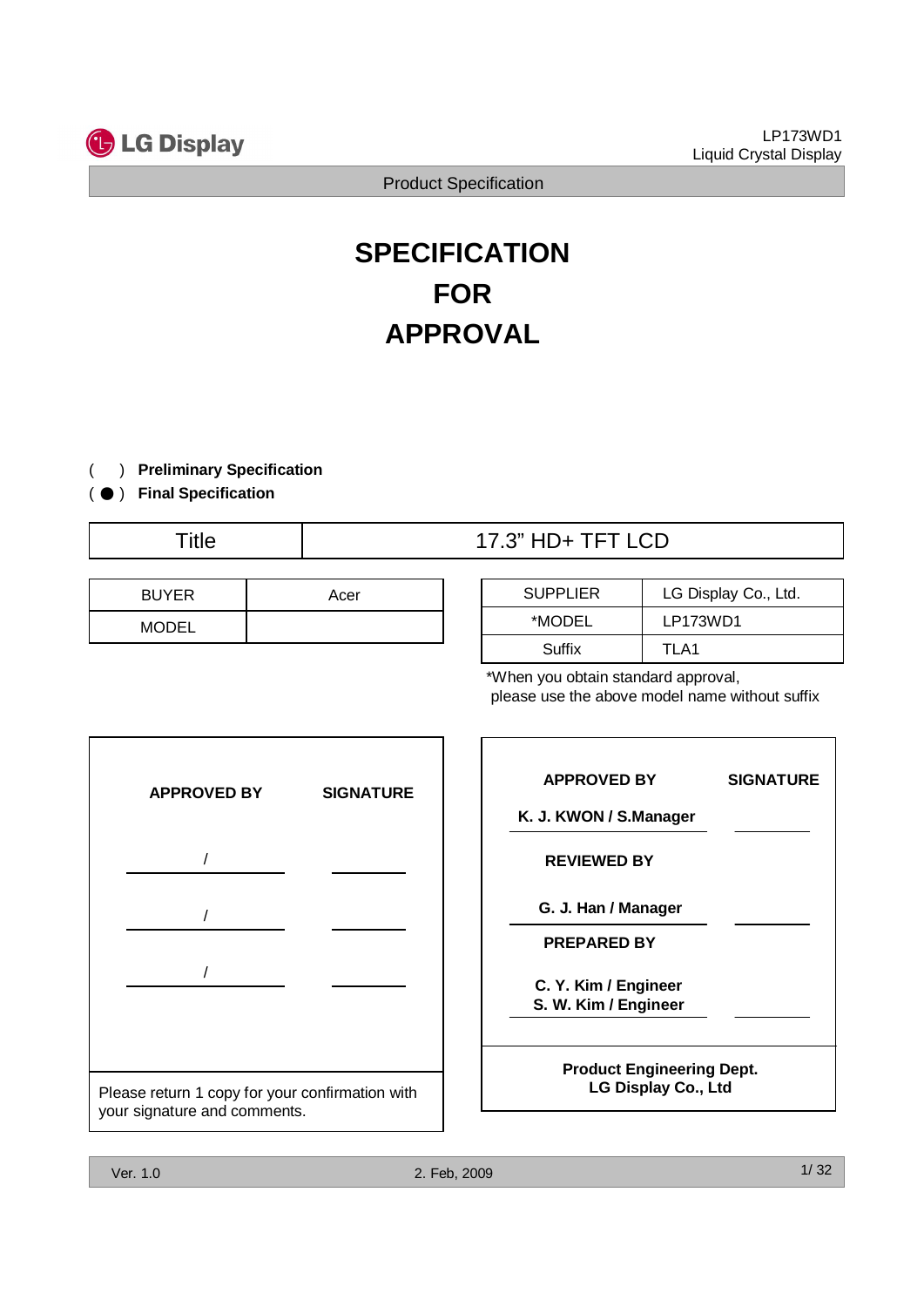

# **SPECIFICATION FOR APPROVAL**

- ) **Preliminary Specification** (
- ) ( ̻ **Final Specification**
	-

| <b>BUYER</b> | Acer |
|--------------|------|
| <b>MODEL</b> |      |

# Title 17.3" HD+ TFT LCD

| <b>SUPPLIER</b> | LG Display Co., Ltd. |
|-----------------|----------------------|
| *MODEL          | LP173WD1             |
| Suffix          | TI A1                |

| <b>FOR</b> | <b>Product Specification</b><br><b>SPECIFICATION</b>                                                                                    |                                                                                                                                                                                                                                                                               |
|------------|-----------------------------------------------------------------------------------------------------------------------------------------|-------------------------------------------------------------------------------------------------------------------------------------------------------------------------------------------------------------------------------------------------------------------------------|
|            |                                                                                                                                         |                                                                                                                                                                                                                                                                               |
|            |                                                                                                                                         |                                                                                                                                                                                                                                                                               |
|            |                                                                                                                                         |                                                                                                                                                                                                                                                                               |
|            | <b>APPROVAL</b>                                                                                                                         |                                                                                                                                                                                                                                                                               |
|            |                                                                                                                                         |                                                                                                                                                                                                                                                                               |
|            |                                                                                                                                         |                                                                                                                                                                                                                                                                               |
| Acer       | <b>SUPPLIER</b>                                                                                                                         | LG Display Co., Ltd.                                                                                                                                                                                                                                                          |
|            |                                                                                                                                         | LP173WD1                                                                                                                                                                                                                                                                      |
|            |                                                                                                                                         | TLA1                                                                                                                                                                                                                                                                          |
|            |                                                                                                                                         | please use the above model name without suffix                                                                                                                                                                                                                                |
|            |                                                                                                                                         | <b>SIGNATURE</b>                                                                                                                                                                                                                                                              |
|            |                                                                                                                                         |                                                                                                                                                                                                                                                                               |
|            |                                                                                                                                         |                                                                                                                                                                                                                                                                               |
|            |                                                                                                                                         |                                                                                                                                                                                                                                                                               |
|            |                                                                                                                                         |                                                                                                                                                                                                                                                                               |
|            |                                                                                                                                         |                                                                                                                                                                                                                                                                               |
|            |                                                                                                                                         |                                                                                                                                                                                                                                                                               |
|            |                                                                                                                                         | <b>Product Engineering Dept.</b>                                                                                                                                                                                                                                              |
|            | <b>Preliminary Specification</b><br><b>SIGNATURE</b><br>Please return 1 copy for your confirmation with<br>your signature and comments. | 17.3" HD+ TFT LCD<br>*MODEL<br>Suffix<br>*When you obtain standard approval,<br><b>APPROVED BY</b><br>K. J. KWON / S.Manager<br><b>REVIEWED BY</b><br>G. J. Han / Manager<br><b>PREPARED BY</b><br>C. Y. Kim / Engineer<br>S. W. Kim / Engineer<br><b>LG Display Co., Ltd</b> |

| <b>APPROVED BY</b>                                             | <b>SIGNATURE</b> |
|----------------------------------------------------------------|------------------|
| K. J. KWON / S.Manager                                         |                  |
| <b>REVIEWED BY</b>                                             |                  |
| G. J. Han / Manager                                            |                  |
| <b>PREPARED BY</b>                                             |                  |
| C. Y. Kim / Engineer<br>S. W. Kim / Engineer                   |                  |
| <b>Product Engineering Dept.</b><br><b>LG Display Co., Ltd</b> |                  |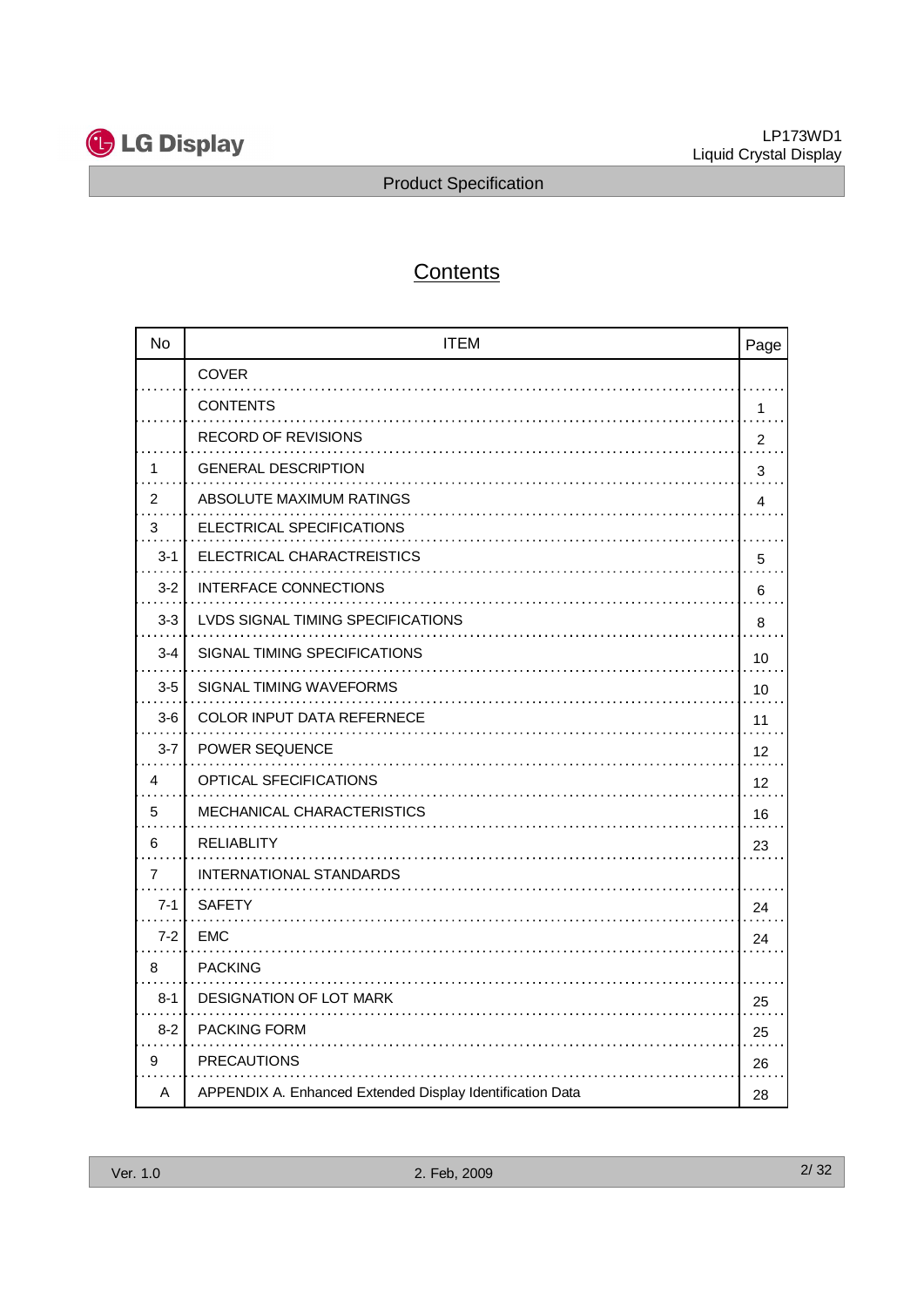

# **Contents**

|                                  | <b>G</b> LG Display                                       | LP173WD1<br>Liquid Crystal Display             |
|----------------------------------|-----------------------------------------------------------|------------------------------------------------|
|                                  | <b>Product Specification</b>                              |                                                |
|                                  | Contents                                                  |                                                |
|                                  |                                                           |                                                |
| No                               | <b>ITEM</b>                                               | Page                                           |
|                                  | <b>COVER</b>                                              |                                                |
|                                  | <b>CONTENTS</b>                                           | 1                                              |
|                                  | <b>RECORD OF REVISIONS</b>                                | $\overline{2}$                                 |
| -1                               | <b>GENERAL DESCRIPTION</b>                                | 3                                              |
| $\sim$ $\sim$<br>$\overline{2}$  | ABSOLUTE MAXIMUM RATINGS                                  | 4                                              |
| .<br>$\ensuremath{\mathsf{3}}$   | ELECTRICAL SPECIFICATIONS                                 |                                                |
| $3-1$                            | ELECTRICAL CHARACTREISTICS                                | 5                                              |
| $3 - 2$                          | INTERFACE CONNECTIONS                                     | 6                                              |
| $3-3$                            | LVDS SIGNAL TIMING SPECIFICATIONS                         | 8                                              |
| 3-4                              | SIGNAL TIMING SPECIFICATIONS                              | 10                                             |
| $3-5$                            | SIGNAL TIMING WAVEFORMS                                   | 10                                             |
| $3-6$                            | COLOR INPUT DATA REFERNECE                                | 11                                             |
| $3 - 7$                          | POWER SEQUENCE                                            | .<br>12                                        |
| .<br>4                           | OPTICAL SFECIFICATIONS                                    | $\sim 100$ and $\sim 100$<br>$12 \overline{ }$ |
| $\sim$ $\sim$ $\sim$<br>5        | MECHANICAL CHARACTERISTICS                                | 16                                             |
| $\ddot{\phantom{0}}$<br>6        | <b>RELIABLITY</b>                                         |                                                |
| .                                |                                                           | 23<br>.                                        |
| $\overline{7}$                   | INTERNATIONAL STANDARDS                                   |                                                |
| $7-1$                            | <b>SAFETY</b>                                             | 24                                             |
| $7 - 2$                          | EMC                                                       | 24<br>$\sim$ $\sim$ $\sim$ $\sim$              |
| 8<br>$\cdots$                    | <b>PACKING</b>                                            |                                                |
| 8-1                              | DESIGNATION OF LOT MARK                                   | 25<br>.                                        |
| $8 - 2$                          | PACKING FORM                                              | 25<br>$\cdots$                                 |
| 9<br>$\sim$ $\sim$ $\sim$ $\sim$ | <b>PRECAUTIONS</b>                                        | 26<br>$\cdots\cdots$                           |
| A                                | APPENDIX A. Enhanced Extended Display Identification Data | 28                                             |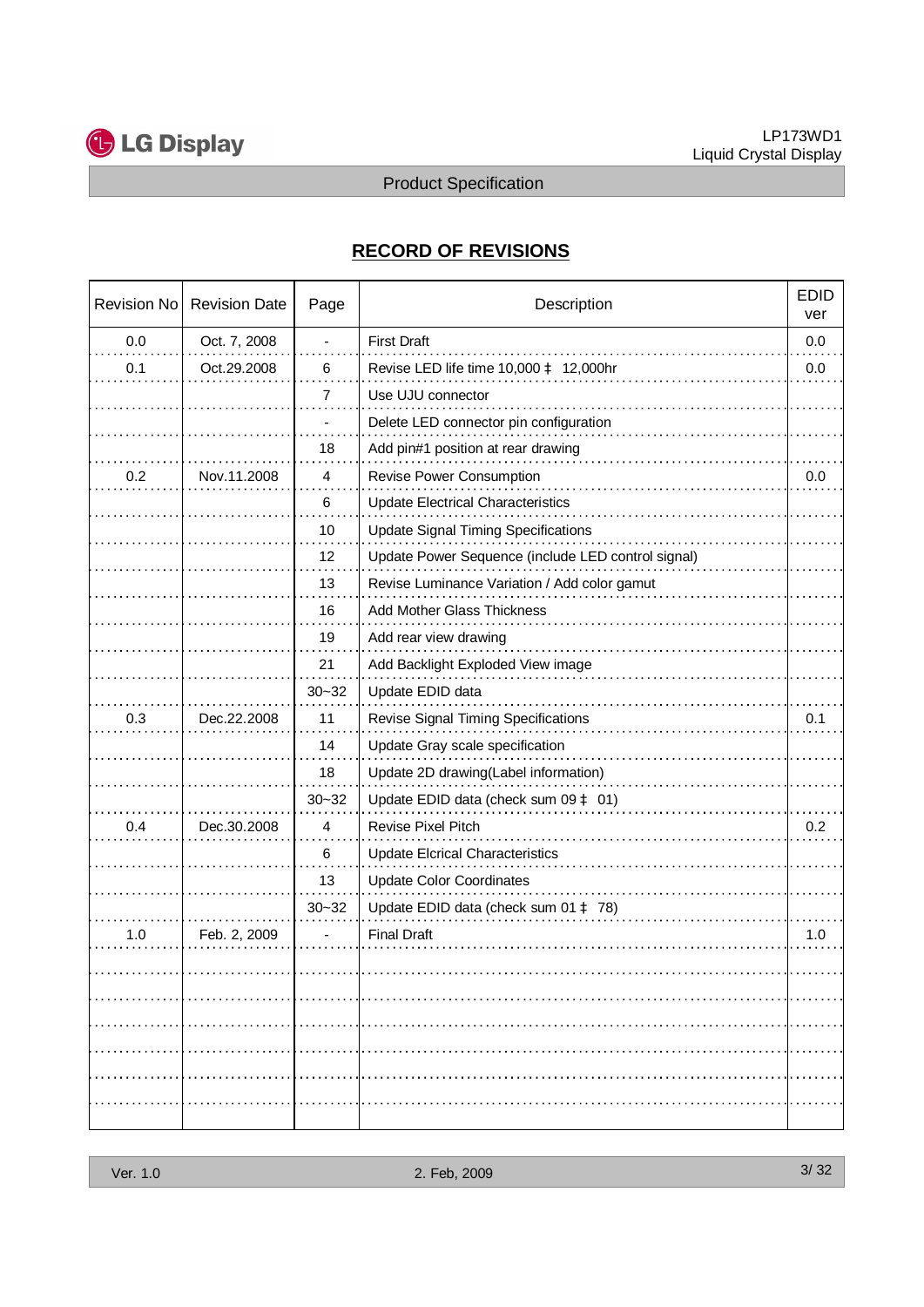

## **RECORD OF REVISIONS**

|                            |              |                              | <b>Product Specification</b>                       | Liquid Crystal Display |  |  |  |
|----------------------------|--------------|------------------------------|----------------------------------------------------|------------------------|--|--|--|
| <b>RECORD OF REVISIONS</b> |              |                              |                                                    |                        |  |  |  |
|                            |              |                              |                                                    |                        |  |  |  |
| 0.0                        | Oct. 7, 2008 |                              | <b>First Draft</b>                                 | 0.0                    |  |  |  |
| 0.1                        | Oct.29.2008  | 6                            | Revise LED life time 10,000 à 12,000hr             | 0.0                    |  |  |  |
|                            |              | $\overline{7}$               | Use UJU connector                                  |                        |  |  |  |
|                            |              | $\blacksquare$               | Delete LED connector pin configuration             |                        |  |  |  |
|                            |              | 18                           | Add pin#1 position at rear drawing                 |                        |  |  |  |
| 0.2                        | Nov.11.2008  | 4                            | Revise Power Consumption                           | 0.0                    |  |  |  |
|                            |              | 6                            | <b>Update Electrical Characteristics</b>           |                        |  |  |  |
|                            |              | 10                           | <b>Update Signal Timing Specifications</b>         |                        |  |  |  |
|                            |              | 12                           | Update Power Sequence (include LED control signal) |                        |  |  |  |
|                            |              | 13                           | Revise Luminance Variation / Add color gamut       |                        |  |  |  |
|                            |              | 16                           | Add Mother Glass Thickness                         |                        |  |  |  |
|                            |              | 19                           | Add rear view drawing                              |                        |  |  |  |
|                            |              | 21                           | Add Backlight Exploded View image                  |                        |  |  |  |
|                            |              | $30 - 32$                    | Update EDID data                                   |                        |  |  |  |
| 0.3                        | Dec.22.2008  | 11                           | Revise Signal Timing Specifications                | 0.1                    |  |  |  |
|                            |              | 14                           | Update Gray scale specification                    |                        |  |  |  |
|                            |              | 18                           | Update 2D drawing(Label information)               |                        |  |  |  |
|                            |              | $30 - 32$                    | Update EDID data (check sum $09 \triangle 01$ )    |                        |  |  |  |
| 0.4                        | Dec.30.2008  | $\overline{4}$               | Revise Pixel Pitch                                 | 0.2                    |  |  |  |
|                            |              | 6                            | <b>Update Elcrical Characteristics</b>             |                        |  |  |  |
|                            |              | 13                           | <b>Update Color Coordinates</b>                    |                        |  |  |  |
|                            |              | $30 - 32$                    | Update EDID data (check sum 01 à 78)               |                        |  |  |  |
| 1.0                        | Feb. 2, 2009 | $\qquad \qquad \blacksquare$ | <b>Final Draft</b>                                 | 1.0                    |  |  |  |
|                            |              |                              |                                                    |                        |  |  |  |
|                            |              |                              |                                                    |                        |  |  |  |
|                            |              |                              |                                                    |                        |  |  |  |
|                            |              |                              |                                                    |                        |  |  |  |
|                            |              |                              |                                                    |                        |  |  |  |
|                            |              |                              |                                                    |                        |  |  |  |
|                            |              |                              |                                                    |                        |  |  |  |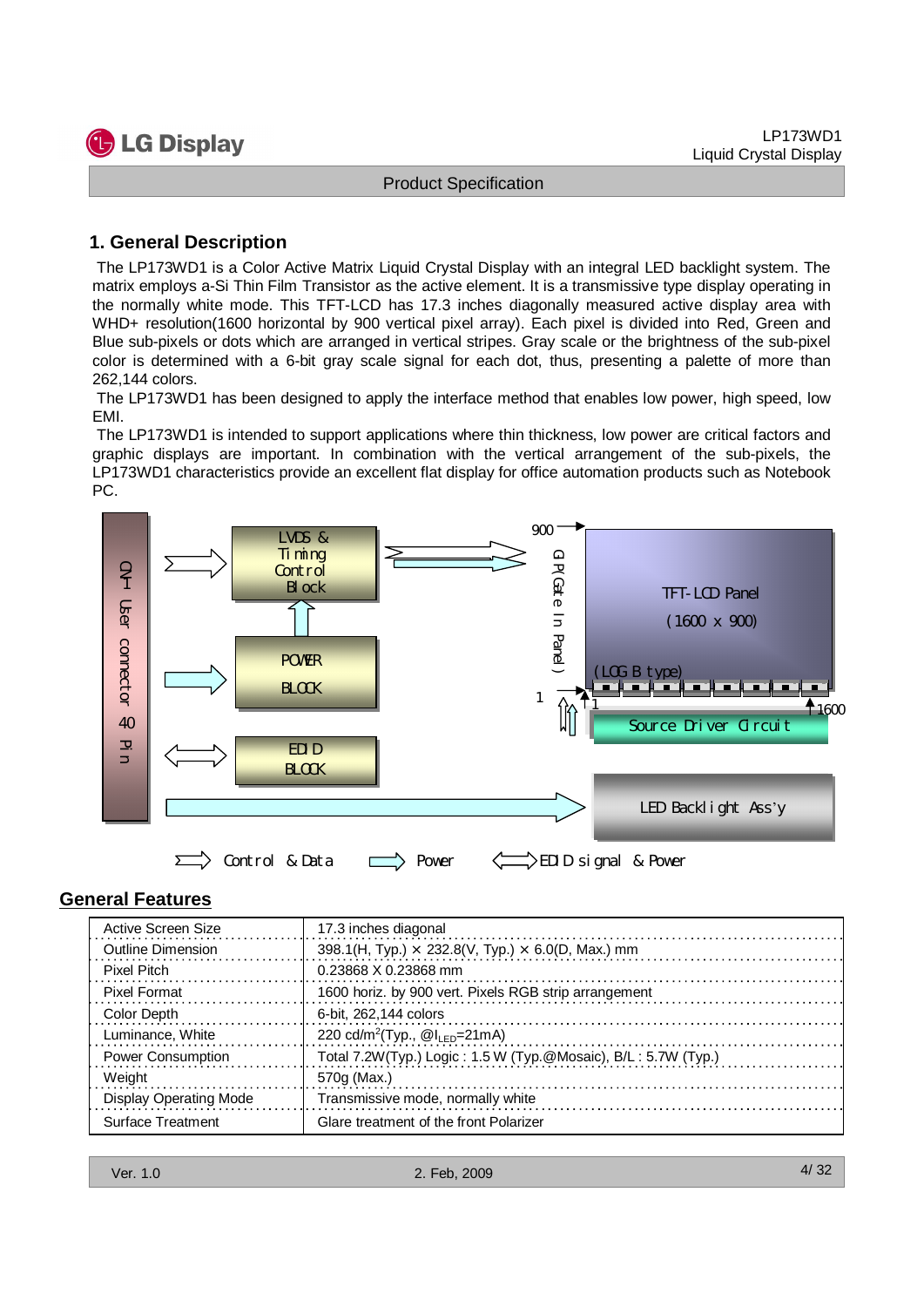

#### **1. General Description**

The LP173WD1 is a Color Active Matrix Liquid Crystal Display with an integral LED backlight system. The matrix employs a-Si Thin Film Transistor as the active element. It is a transmissive type display operating in the normally white mode. This TFT-LCD has 17.3 inches diagonally measured active display area with WHD+ resolution(1600 horizontal by 900 vertical pixel array). Each pixel is divided into Red, Green and Blue sub-pixels or dots which are arranged in vertical stripes. Gray scale or the brightness of the sub-pixel color is determined with a 6-bit gray scale signal for each dot, thus, presenting a palette of more than 262,144 colors.

The LP173WD1 has been designed to apply the interface method that enables low power, high speed, low EMI.

The LP173WD1 is intended to support applications where thin thickness, low power are critical factors and graphic displays are important. In combination with the vertical arrangement of the sub-pixels, the LP173WD1 characteristics provide an excellent flat display for office automation products such as Notebook PC.



#### **General Features**

| Active Screen Size            | 17.3 inches diagonal                                            |
|-------------------------------|-----------------------------------------------------------------|
| <b>Outline Dimension</b>      | 398.1(H, Typ.) $\times$ 232.8(V, Typ.) $\times$ 6.0(D, Max.) mm |
| <b>Pixel Pitch</b>            | 0.23868 X 0.23868 mm                                            |
| <b>Pixel Format</b>           | 1600 horiz. by 900 vert. Pixels RGB strip arrangement           |
| Color Depth                   | 6-bit, 262,144 colors                                           |
| Luminance, White              | 220 cd/m <sup>2</sup> (Typ., $@I_{IFD}=21mA$ )                  |
| <b>Power Consumption</b>      | Total 7.2W(Typ.) Logic: 1.5 W (Typ.@Mosaic), B/L: 5.7W (Typ.)   |
| Weight                        | 570g (Max.)                                                     |
| <b>Display Operating Mode</b> | Transmissive mode, normally white                               |
| Surface Treatment             | Glare treatment of the front Polarizer                          |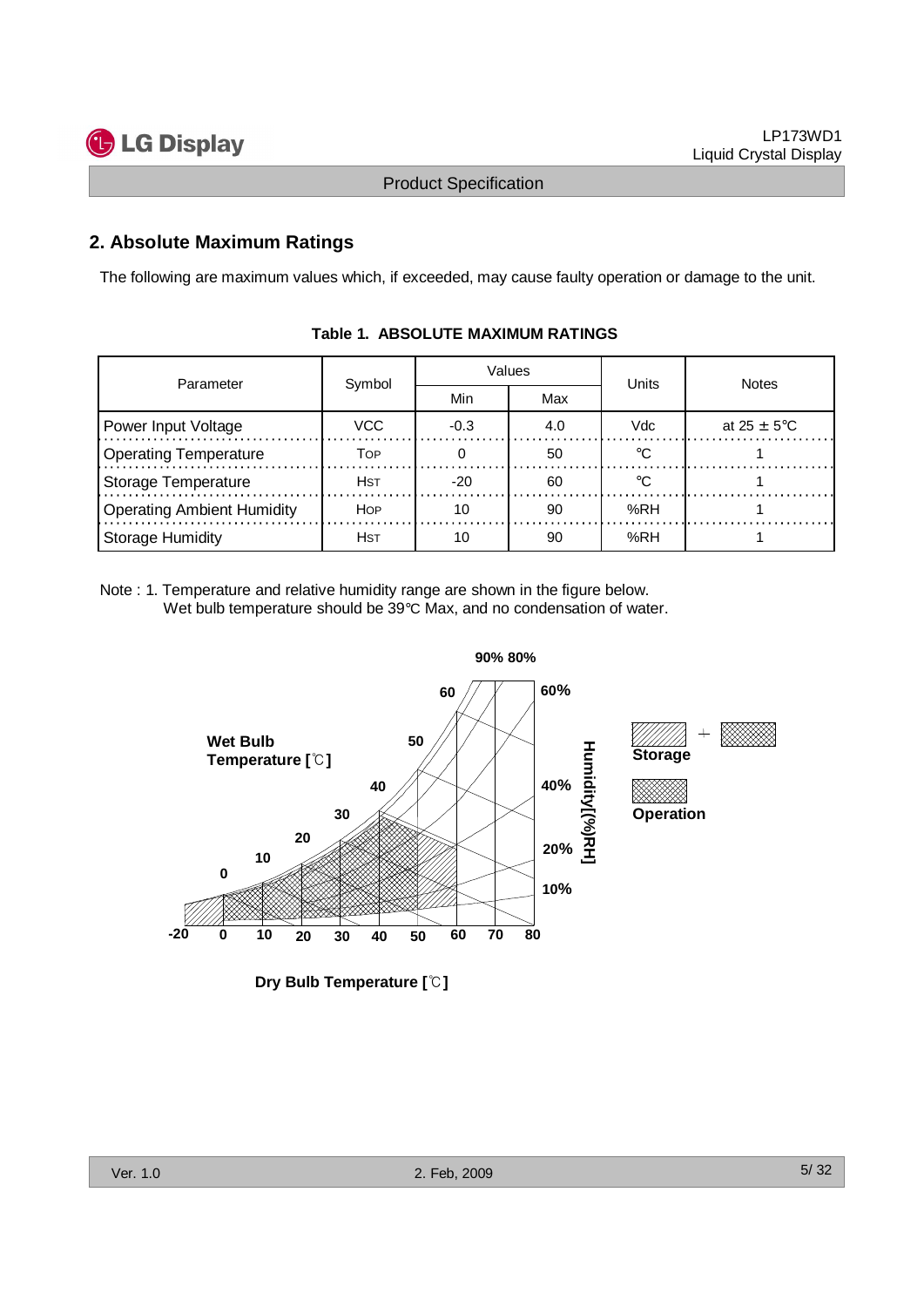

## **2. Absolute Maximum Ratings**

The following are maximum values which, if exceeded, may cause faulty operation or damage to the unit.

| Parameter                         | Symbol     |        | Values | Units | <b>Notes</b>            |
|-----------------------------------|------------|--------|--------|-------|-------------------------|
|                                   |            | Min    | Max    |       |                         |
| Power Input Voltage               | VCC.       | $-0.3$ | 4.0    | Vdc   | at $25 \pm 5^{\circ}$ C |
| <b>Operating Temperature</b>      | Тов        |        | 50     |       |                         |
| <b>Storage Temperature</b>        | Нsт        | $-20$  | 60     |       |                         |
| <b>Operating Ambient Humidity</b> | <b>HOP</b> |        | 90     | %RH   |                         |
| <b>Storage Humidity</b>           | Нsт        |        | 90     | %RH   |                         |

#### **Table 1. ABSOLUTE MAXIMUM RATINGS**

Note : 1. Temperature and relative humidity range are shown in the figure below. Wet bulb temperature should be 39°C Max, and no condensation of water.



**Dry Bulb Temperature []**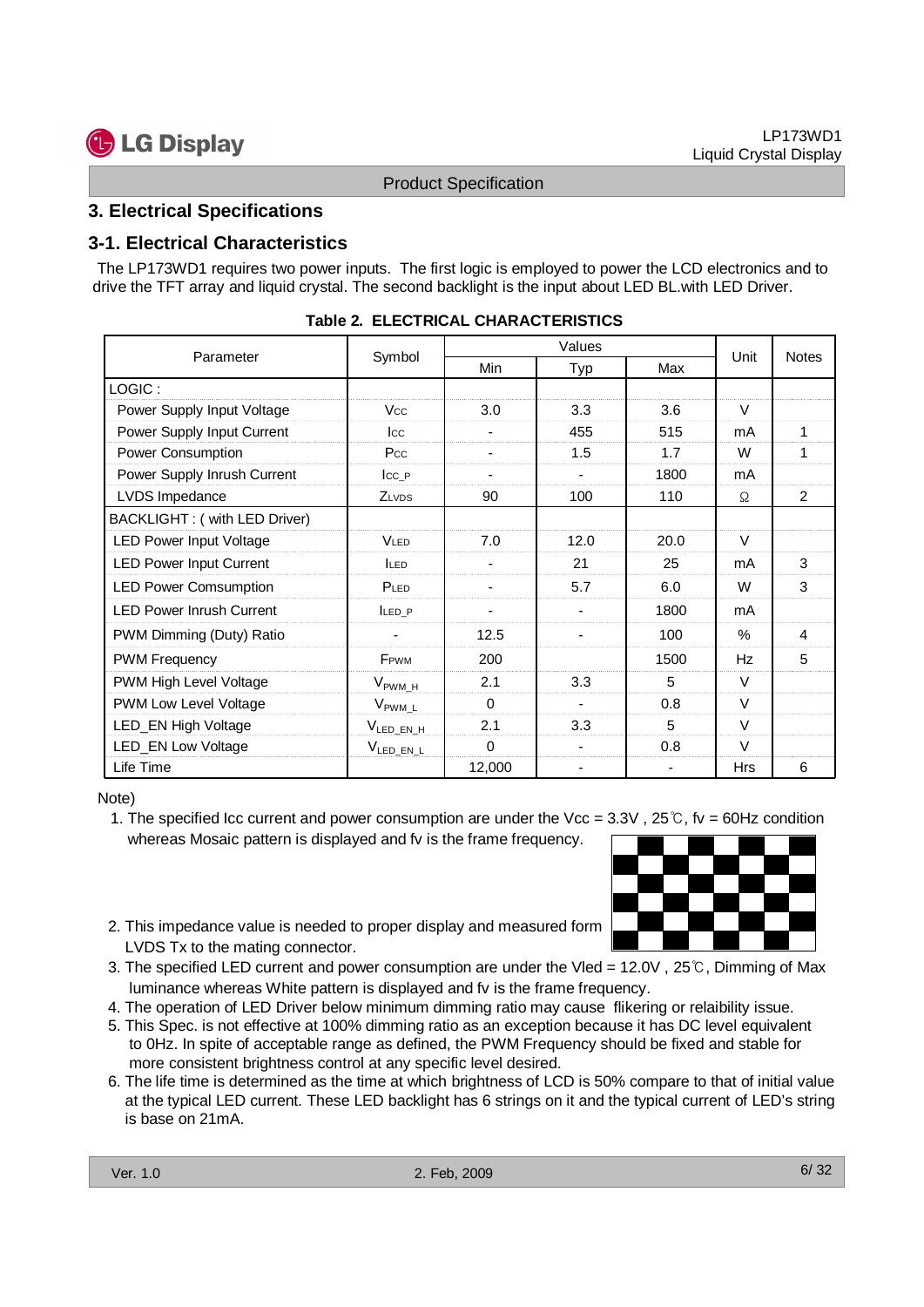#### **3. Electrical Specifications**

## **3-1. Electrical Characteristics**

| <b>3. Electrical Specifications</b><br>3-1. Electrical Characteristics<br>The LP173WD1 requires two power inputs. The first logic is employed to power the LCD electronics and to<br>drive the TFT array and liquid crystal. The second backlight is the input about LED BL with LED Driver. |                                     | <b>Product Specification</b> |                |      |          |                |
|----------------------------------------------------------------------------------------------------------------------------------------------------------------------------------------------------------------------------------------------------------------------------------------------|-------------------------------------|------------------------------|----------------|------|----------|----------------|
|                                                                                                                                                                                                                                                                                              |                                     |                              |                |      |          |                |
|                                                                                                                                                                                                                                                                                              |                                     |                              |                |      |          |                |
|                                                                                                                                                                                                                                                                                              |                                     |                              |                |      |          |                |
|                                                                                                                                                                                                                                                                                              |                                     |                              |                |      |          |                |
|                                                                                                                                                                                                                                                                                              |                                     |                              |                |      |          |                |
|                                                                                                                                                                                                                                                                                              | Table 2. ELECTRICAL CHARACTERISTICS |                              |                |      |          |                |
| Values                                                                                                                                                                                                                                                                                       |                                     |                              |                |      |          |                |
| Parameter                                                                                                                                                                                                                                                                                    | Symbol                              | Min                          | Typ<br>Max     |      | Unit     | Notes          |
| LOGIC:                                                                                                                                                                                                                                                                                       |                                     |                              |                |      |          |                |
| Power Supply Input Voltage                                                                                                                                                                                                                                                                   | Vcc                                 | 3.0                          | 3.3            | 3.6  | V        |                |
| Power Supply Input Current                                                                                                                                                                                                                                                                   | $_{\rm lcc}$                        |                              | 455            | 515  | mA       | 1              |
| Power Consumption                                                                                                                                                                                                                                                                            | Pcc                                 |                              | 1.5            | 1.7  | W        | $\mathbf{1}$   |
| Power Supply Inrush Current                                                                                                                                                                                                                                                                  | $lcc_P$                             |                              | $\overline{a}$ | 1800 | mA       |                |
| LVDS Impedance                                                                                                                                                                                                                                                                               | ZLVDS                               | 90                           | 100            | 110  | Ω        | $\overline{2}$ |
| BACKLIGHT: (with LED Driver)                                                                                                                                                                                                                                                                 |                                     |                              |                |      |          |                |
| <b>LED Power Input Voltage</b>                                                                                                                                                                                                                                                               | <b>VLED</b>                         | 7.0                          | 12.0           | 20.0 | V        |                |
| <b>LED Power Input Current</b>                                                                                                                                                                                                                                                               | <b>ILED</b>                         |                              | 21             | 25   | mA       | 3              |
| <b>LED Power Comsumption</b>                                                                                                                                                                                                                                                                 | PLED                                |                              | 5.7            | 6.0  | W        | 3              |
| <b>LED Power Inrush Current</b>                                                                                                                                                                                                                                                              | $LED_P$                             | $\blacksquare$               | $\blacksquare$ | 1800 | mA       |                |
| PWM Dimming (Duty) Ratio                                                                                                                                                                                                                                                                     |                                     | 12.5                         |                | 100  | $\%$     | $\overline{4}$ |
| <b>PWM Frequency</b>                                                                                                                                                                                                                                                                         | FPWM                                | 200                          |                | 1500 | Hz       | 5              |
|                                                                                                                                                                                                                                                                                              |                                     | 2.1                          | 3.3            | 5    | V        |                |
| PWM High Level Voltage                                                                                                                                                                                                                                                                       | $V_{\sf{PWM\_H}}$                   |                              |                |      |          |                |
| PWM Low Level Voltage                                                                                                                                                                                                                                                                        | $\rm V_{\rm PWM\_L}$                | 0                            |                | 0.8  | V        |                |
| LED_EN High Voltage                                                                                                                                                                                                                                                                          | $V_{LEDEN.H}$                       | 2.1                          | 3.3            | 5    | V        |                |
| <b>LED_EN Low Voltage</b><br>Life Time                                                                                                                                                                                                                                                       | $V_{LED\_EN\_L}$                    | 0<br>12,000                  |                | 0.8  | V<br>Hrs | 6              |

- 1. The specified Icc current and power consumption are under the Vcc =  $3.3V$ ,  $25^{\circ}$ , fv = 60Hz condition whereas Mosaic pattern is displayed and fv is the frame frequency.
- 2. This impedance value is needed to proper display and measured form LVDS Tx to the mating connector.
- 3. The specified LED current and power consumption are under the Vled =  $12.0V$ ,  $25^{\circ}$ C, Dimming of Max luminance whereas White pattern is displayed and fv is the frame frequency.
- 4. The operation of LED Driver below minimum dimming ratio may cause flikering or relaibility issue.
- 5. This Spec. is not effective at 100% dimming ratio as an exception because it has DC level equivalent to 0Hz. In spite of acceptable range as defined, the PWM Frequency should be fixed and stable for more consistent brightness control at any specific level desired.
- 6. The life time is determined as the time at which brightness of LCD is 50% compare to that of initial value at the typical LED current. These LED backlight has 6 strings on it and the typical current of LED's string is base on 21mA.

![](_page_5_Figure_18.jpeg)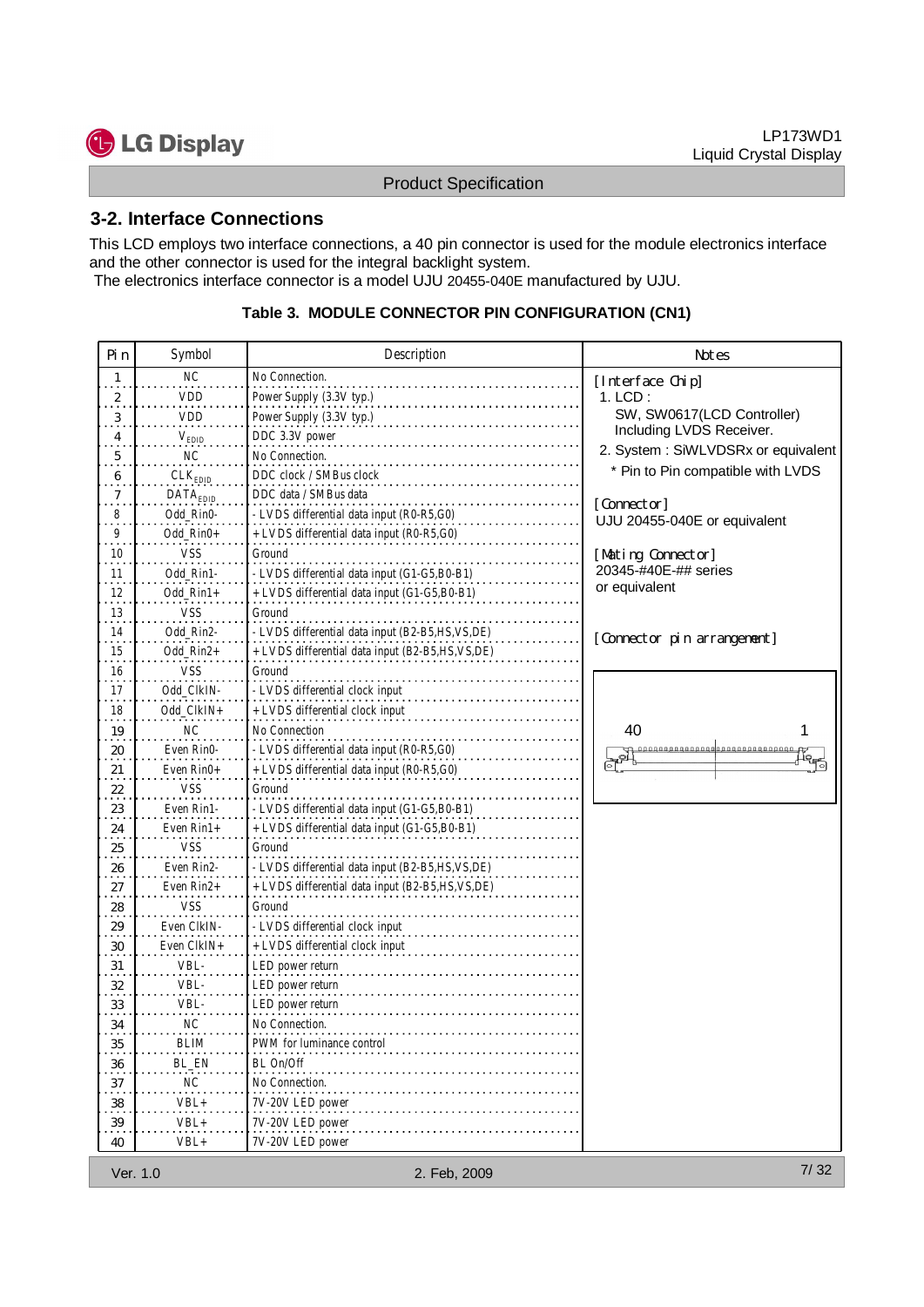![](_page_6_Picture_1.jpeg)

## **3-2. Interface Connections**

|                            | 3-2. Interface Connections | <b>Product Specification</b>                                                                                                                                                      |                                                     |  |  |  |
|----------------------------|----------------------------|-----------------------------------------------------------------------------------------------------------------------------------------------------------------------------------|-----------------------------------------------------|--|--|--|
|                            |                            |                                                                                                                                                                                   |                                                     |  |  |  |
|                            |                            |                                                                                                                                                                                   |                                                     |  |  |  |
|                            |                            | This LCD employs two interface connections, a 40 pin connector is used for the module electronics interface<br>and the other connector is used for the integral backlight system. |                                                     |  |  |  |
|                            |                            | The electronics interface connector is a model UJU 20455-040E manufactured by UJU.                                                                                                |                                                     |  |  |  |
|                            |                            | Table 3. MODULE CONNECTOR PIN CONFIGURATION (CN1)                                                                                                                                 |                                                     |  |  |  |
| Pin                        | Symbol                     | Description                                                                                                                                                                       | Notes                                               |  |  |  |
| $\overline{1}$             | <b>NC</b>                  | No Connection.                                                                                                                                                                    |                                                     |  |  |  |
| 2                          | VDD                        | Power Supply (3.3V typ.)                                                                                                                                                          | [Interface Chip]<br>$1.$ LCD:                       |  |  |  |
| 3                          | <b>VDD</b>                 | Power Supply (3.3V typ.)                                                                                                                                                          | SW, SW0617(LCD Controller)                          |  |  |  |
| $\overline{4}$             | $V_{EDID}$                 | DDC 3.3V power                                                                                                                                                                    | Including LVDS Receiver.                            |  |  |  |
| 5                          | <b>NC</b>                  | No Connection.                                                                                                                                                                    | 2. System: SiWLVDSRx or equivalent                  |  |  |  |
| 6                          | CLK <sub>EDID</sub>        | DDC clock / SMBus clock                                                                                                                                                           | * Pin to Pin compatible with LVDS                   |  |  |  |
| $\overline{7}$             | DATA <sub>EDID</sub>       | DDC data / SMBus data                                                                                                                                                             | [Connector]                                         |  |  |  |
| 8<br>9                     | Odd_Rin0-<br>Odd_Rin0+     | - LVDS differential data input (R0-R5,G0)<br>+ LVDS differential data input (R0-R5,G0)                                                                                            | UJU 20455-040E or equivalent                        |  |  |  |
| 10                         | VSS                        | Ground                                                                                                                                                                            | [Mating Connector]                                  |  |  |  |
| 11                         | Odd_Rin1-                  | - LVDS differential data input (G1-G5,B0-B1)                                                                                                                                      | 20345-#40E-## series                                |  |  |  |
| 12<br>.                    | $Odd_Rin1+$                | + LVDS differential data input (G1-G5,B0-B1)                                                                                                                                      | or equivalent                                       |  |  |  |
| 13                         | <b>VSS</b>                 | Ground                                                                                                                                                                            |                                                     |  |  |  |
| 14                         | Odd_Rin2-                  | - LVDS differential data input (B2-B5,HS,VS,DE)                                                                                                                                   | [Connector pin arrangement]                         |  |  |  |
| 15<br>$\cdots$<br>16       | Odd_Rin2+<br>VSS.          | + LVDS differential data input (B2-B5,HS,VS,DE)<br>Ground                                                                                                                         |                                                     |  |  |  |
| $\sim$ $\sim$ $\sim$<br>17 | Odd_CIkIN-                 | - LVDS differential clock input                                                                                                                                                   |                                                     |  |  |  |
| $\cdots$<br>18             | Odd_CIkIN+                 | + LVDS differential clock input                                                                                                                                                   |                                                     |  |  |  |
| 19                         | NC                         | No Connection                                                                                                                                                                     | 40                                                  |  |  |  |
| 20                         | Even Rin0-                 | - LVDS differential data input (R0-R5,G0)                                                                                                                                         | CL<br>Communications (CL)<br>CL<br>$\frac{\pi}{10}$ |  |  |  |
| .21.                       | Even Rin0+                 | + LVDS differential data input (R0-R5,G0)                                                                                                                                         |                                                     |  |  |  |
| 22<br>$\sim$ 10 $\pm$      | VSS<br>Even Rin1-          | Ground<br>- LVDS differential data input (G1-G5,B0-B1)                                                                                                                            |                                                     |  |  |  |
| $^{23}$<br>24              | Even Rin1+                 | + LVDS differential data input (G1-G5,B0-B1)                                                                                                                                      |                                                     |  |  |  |
| 25                         | VSS                        | Ground                                                                                                                                                                            |                                                     |  |  |  |
| 26                         | Even Rin2-                 | - LVDS differential data input (B2-B5,HS,VS,DE)                                                                                                                                   |                                                     |  |  |  |
| $^{27}$                    | Even Rin2+                 | + LVDS differential data input (B2-B5,HS,VS,DE)                                                                                                                                   |                                                     |  |  |  |
| $^{28}$                    | VSS                        | Ground                                                                                                                                                                            |                                                     |  |  |  |
| 29                         | Even CIkIN-                | - LVDS differential clock input                                                                                                                                                   |                                                     |  |  |  |
| 30                         | Even CIkIN+<br>VBL-        | + LVDS differential clock input<br>LED power return                                                                                                                               |                                                     |  |  |  |
| 31<br>32                   | VBL-                       | LED power return                                                                                                                                                                  |                                                     |  |  |  |
|                            | VBL-                       | LED power return                                                                                                                                                                  |                                                     |  |  |  |
| 33                         | $\sf NC$                   | No Connection.                                                                                                                                                                    |                                                     |  |  |  |
| 34                         |                            |                                                                                                                                                                                   |                                                     |  |  |  |
| $\sim$ $\sim$<br>35        | <b>BLIM</b>                | PWM for luminance control                                                                                                                                                         |                                                     |  |  |  |
| 36                         | BL_EN                      | BL On/Off                                                                                                                                                                         |                                                     |  |  |  |
| 37                         | ΝC                         | No Connection.                                                                                                                                                                    |                                                     |  |  |  |
| 38<br>39                   | VBL+<br>VBL+               | 7V-20V LED power<br>7V-20V LED power                                                                                                                                              |                                                     |  |  |  |

#### **Table 3. MODULE CONNECTOR PIN CONFIGURATION (CN1)**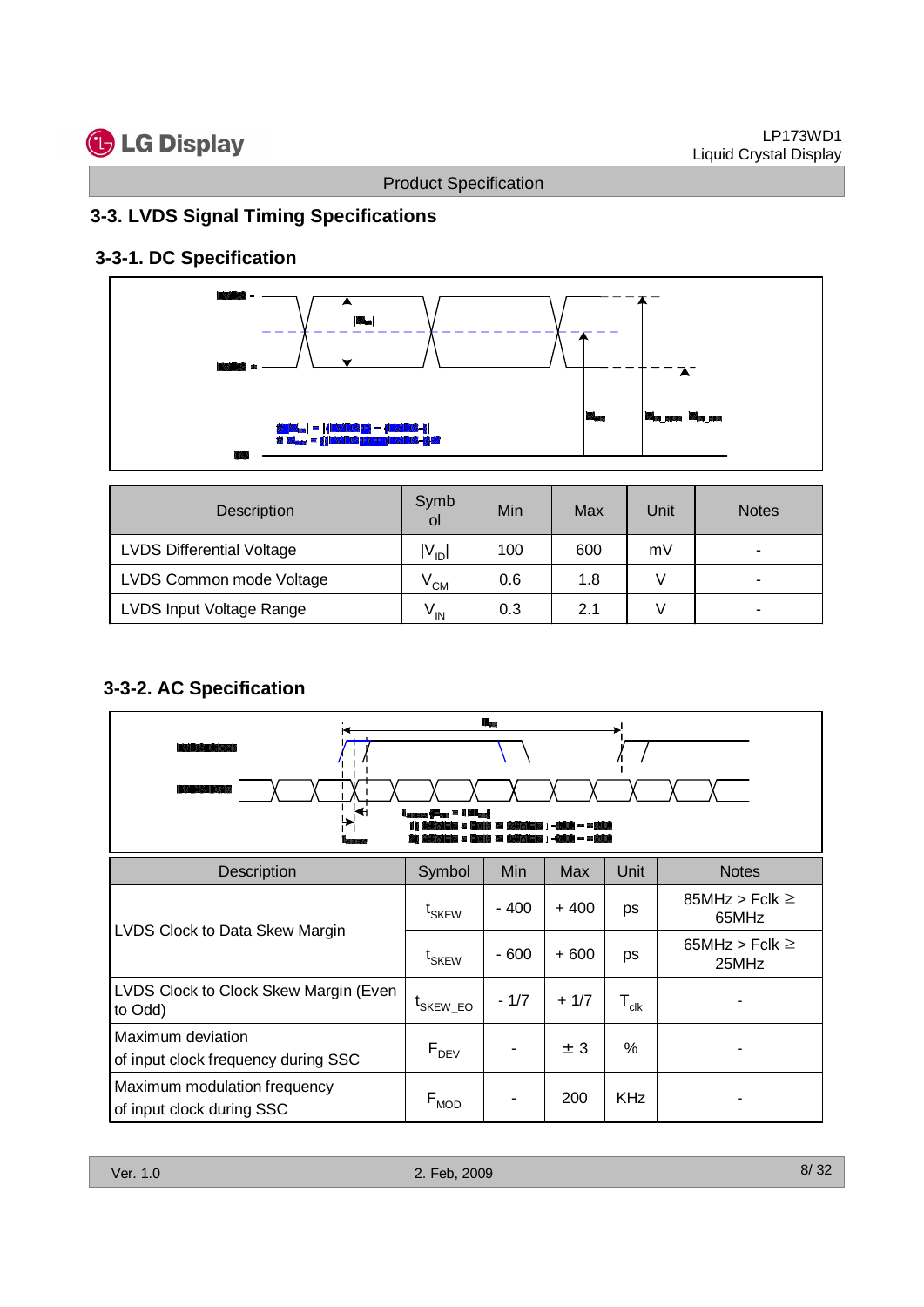![](_page_7_Picture_0.jpeg)

## **3-3. LVDS Signal Timing Specifications**

## **3-3-1. DC Specification**

![](_page_7_Figure_5.jpeg)

| Description                      | Symb<br>0l        | Min | Max | Unit | <b>Notes</b> |
|----------------------------------|-------------------|-----|-----|------|--------------|
| <b>LVDS Differential Voltage</b> | $ V_{ID} $        | 100 | 600 | mV   |              |
| LVDS Common mode Voltage         | $V^{\text{CM}}$   | 0.6 | 1.8 |      | -            |
| LVDS Input Voltage Range         | $V_{\mathsf{IN}}$ | 0.3 | 2.1 |      |              |

## **3-3-2. AC Specification**

|                                                                                                                | <b>Product Specification</b>   |                           |         |                  | Liquid Crystal Display       |
|----------------------------------------------------------------------------------------------------------------|--------------------------------|---------------------------|---------|------------------|------------------------------|
| 3-3. LVDS Signal Timing Specifications                                                                         |                                |                           |         |                  |                              |
| 3-3-1. DC Specification                                                                                        |                                |                           |         |                  |                              |
|                                                                                                                |                                |                           |         |                  |                              |
| $\left  \blacksquare_{\blacksquare} \right $                                                                   |                                |                           |         |                  |                              |
| /   V <sub>IP</sub>   =   <mark>(LVDS+)</mark> – (LVD <b>S-) </b><br># V <sub>CM</sub> = {(LVDS+) + (LVDS-)}/2 |                                |                           |         |                  |                              |
| Description                                                                                                    | Symb<br>ol                     | Min                       | Max     | Unit             | <b>Notes</b>                 |
| <b>LVDS Differential Voltage</b>                                                                               | $ V_{ID} $                     | 100                       | 600     | mV               | $\blacksquare$               |
| LVDS Common mode Voltage                                                                                       | $V^{\text{CM}}$                | 0.6                       | 1.8     | $\vee$           |                              |
| LVDS Input Voltage Range                                                                                       | $\mathsf{V}_{\mathsf{IN}}$     | 0.3                       | 2.1     | $\mathsf{V}$     |                              |
| 3-3-2. AC Specification<br>гŧ                                                                                  | <b>لـــه 1 - سا</b>            | $\mathbf{R}_{\text{int}}$ |         |                  |                              |
|                                                                                                                |                                |                           |         |                  |                              |
| Description                                                                                                    | Symbol                         | Min                       | Max     | Unit             | <b>Notes</b>                 |
|                                                                                                                | $\mathfrak{t}_{\mathsf{SKEW}}$ | $-400$                    | $+400$  | ps               | 85MHz > Fclk $\geq$<br>65MHz |
| LVDS Clock to Data Skew Margin                                                                                 | t <sub>SKEW</sub>              | $-600$                    | $+600$  | ps               | 65MHz > Fclk $\geq$<br>25MHz |
| LVDS Clock to Clock Skew Margin (Even<br>to Odd)                                                               | $\mathfrak{t}_{\rm SKEW\_EO}$  | $-1/7$                    | $+1/7$  | $T_{\text{clk}}$ |                              |
| Maximum deviation<br>of input clock frequency during SSC                                                       | $F_{DEV}$                      | $\blacksquare$            | $\pm$ 3 | $\%$             | $\blacksquare$               |
| Maximum modulation frequency<br>of input clock during SSC                                                      | $\mathsf{F}_{\mathsf{MOD}}$    | $\blacksquare$            | 200     | KHz              | $\blacksquare$               |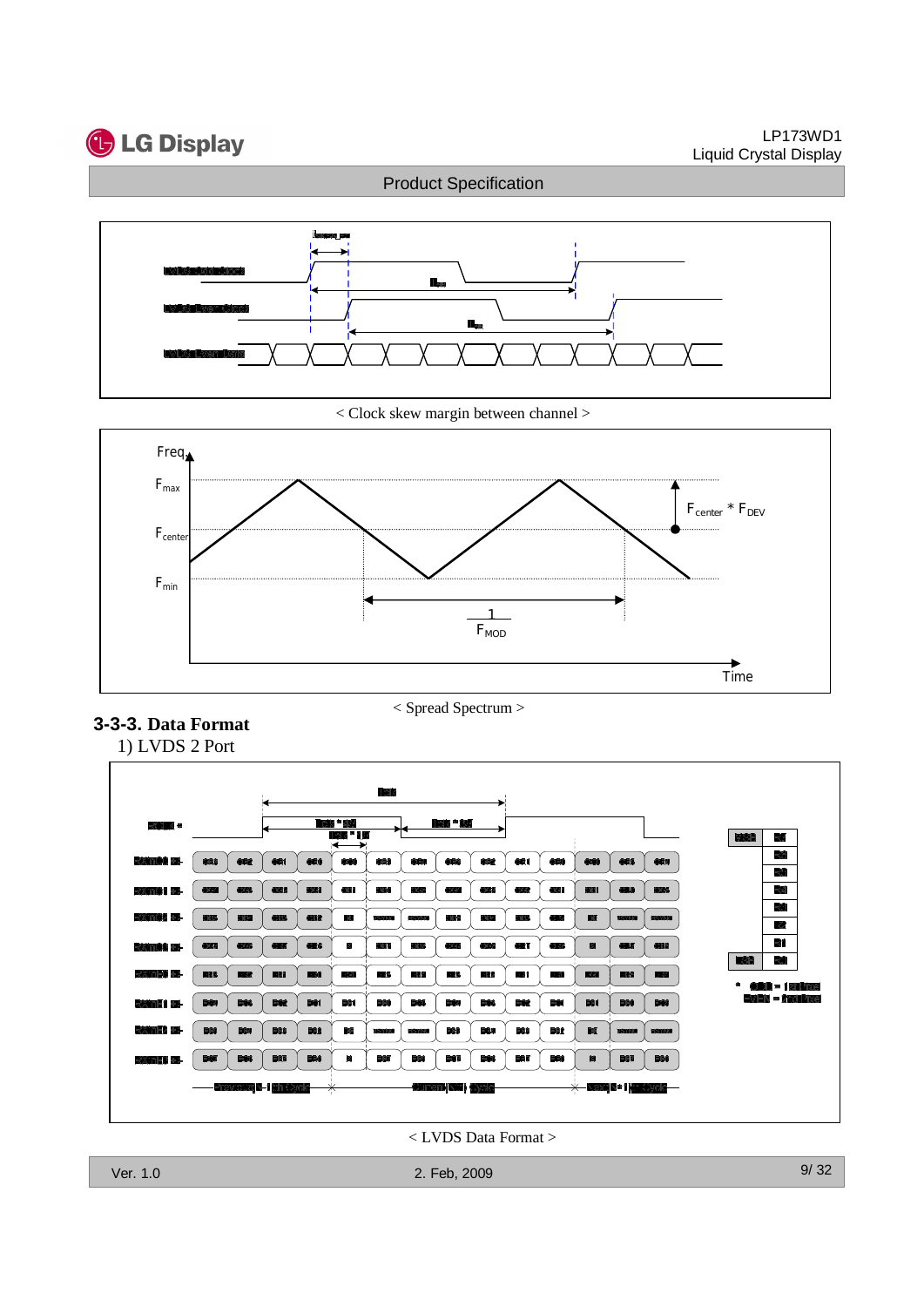![](_page_8_Picture_0.jpeg)

#### LP173WD1 Liquid Crystal Display

## Product Specification

![](_page_8_Figure_3.jpeg)

< Clock skew margin between channel >

![](_page_8_Figure_5.jpeg)

## **3-3-3. Data Format**

< Spread Spectrum >

![](_page_8_Figure_8.jpeg)

< LVDS Data Format >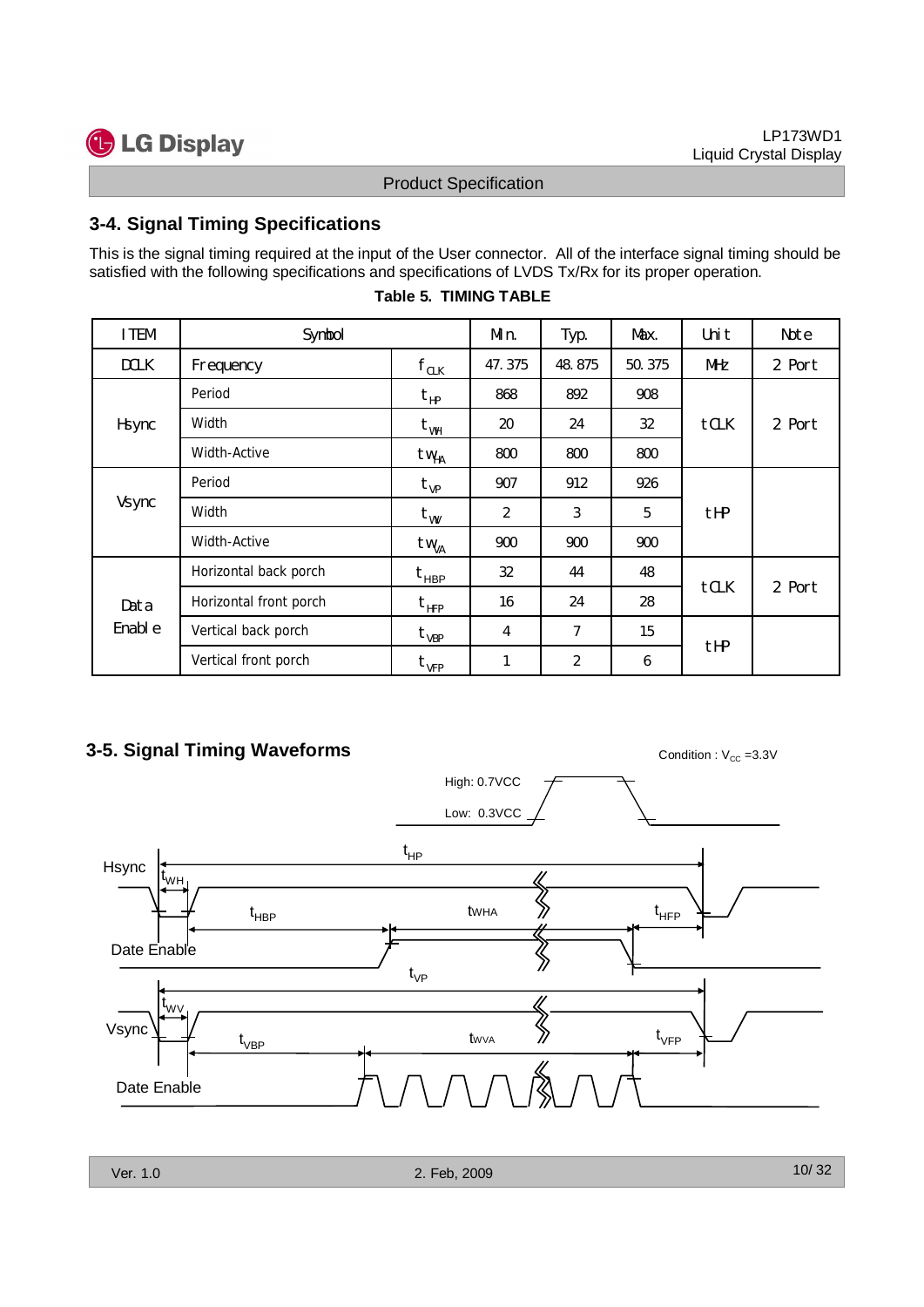![](_page_9_Picture_0.jpeg)

## **3-4. Signal Timing Specifications**

| <b>Product Specification</b><br>3-4. Signal Timing Specifications<br>This is the signal timing required at the input of the User connector. All of the interface signal timing should be<br>satisfied with the following specifications and specifications of LVDS Tx/Rx for its proper operation.<br><b>Table 5. TIMING TABLE</b> |        |
|------------------------------------------------------------------------------------------------------------------------------------------------------------------------------------------------------------------------------------------------------------------------------------------------------------------------------------|--------|
|                                                                                                                                                                                                                                                                                                                                    |        |
|                                                                                                                                                                                                                                                                                                                                    |        |
| I TEM<br>Symbol<br>Max.<br>Uni t<br>Min.<br>Typ.                                                                                                                                                                                                                                                                                   | Note   |
| $\mathsf{f}_{\texttt{CLK}}$<br><b>DCLK</b><br>48.875<br>50.375<br>Frequency<br>47.375<br>MHz                                                                                                                                                                                                                                       | 2 Port |
| Period<br>892<br>868<br>908<br>$t_{HP}$                                                                                                                                                                                                                                                                                            |        |
| Width<br>tCLK<br>Hsync<br>20<br>24<br>32<br>$t_{WH}$                                                                                                                                                                                                                                                                               | 2 Port |
| Width-Active<br>800<br>800<br>800<br>tw <sub>HA</sub>                                                                                                                                                                                                                                                                              |        |
| Period<br>907<br>912<br>926<br>$t_{\rm VP}$                                                                                                                                                                                                                                                                                        |        |
| Vsync<br>Width<br>$\mathfrak{Z}$<br>tHP<br>$\overline{2}$<br>5<br>$\texttt{t}_{\texttt{WV}}$                                                                                                                                                                                                                                       |        |
| Width-Active<br>900<br>900<br>900<br>tw <sub>VA</sub>                                                                                                                                                                                                                                                                              |        |
| Horizontal back porch<br>32<br>44<br>48<br>$t_{HBP}$                                                                                                                                                                                                                                                                               |        |
| tCLK<br>Horizontal front porch<br>$t_{\rm HFP}$<br>16<br>24<br>28<br>Data                                                                                                                                                                                                                                                          | 2 Port |
| Enabl e<br>Vertical back porch<br>$\overline{7}$<br>15<br>$\overline{4}$<br>$t_{VBP}$                                                                                                                                                                                                                                              |        |
| tHP<br>Vertical front porch<br>$\overline{2}$<br>$\boldsymbol{6}$<br>$\mathbf{1}$<br>$t_{\rm VFP}$                                                                                                                                                                                                                                 |        |

#### **Table 5. TIMING TABLE**

## **3-5. Signal Timing Waveforms** Condition : V<sub>CC</sub> =3.3V

![](_page_9_Figure_8.jpeg)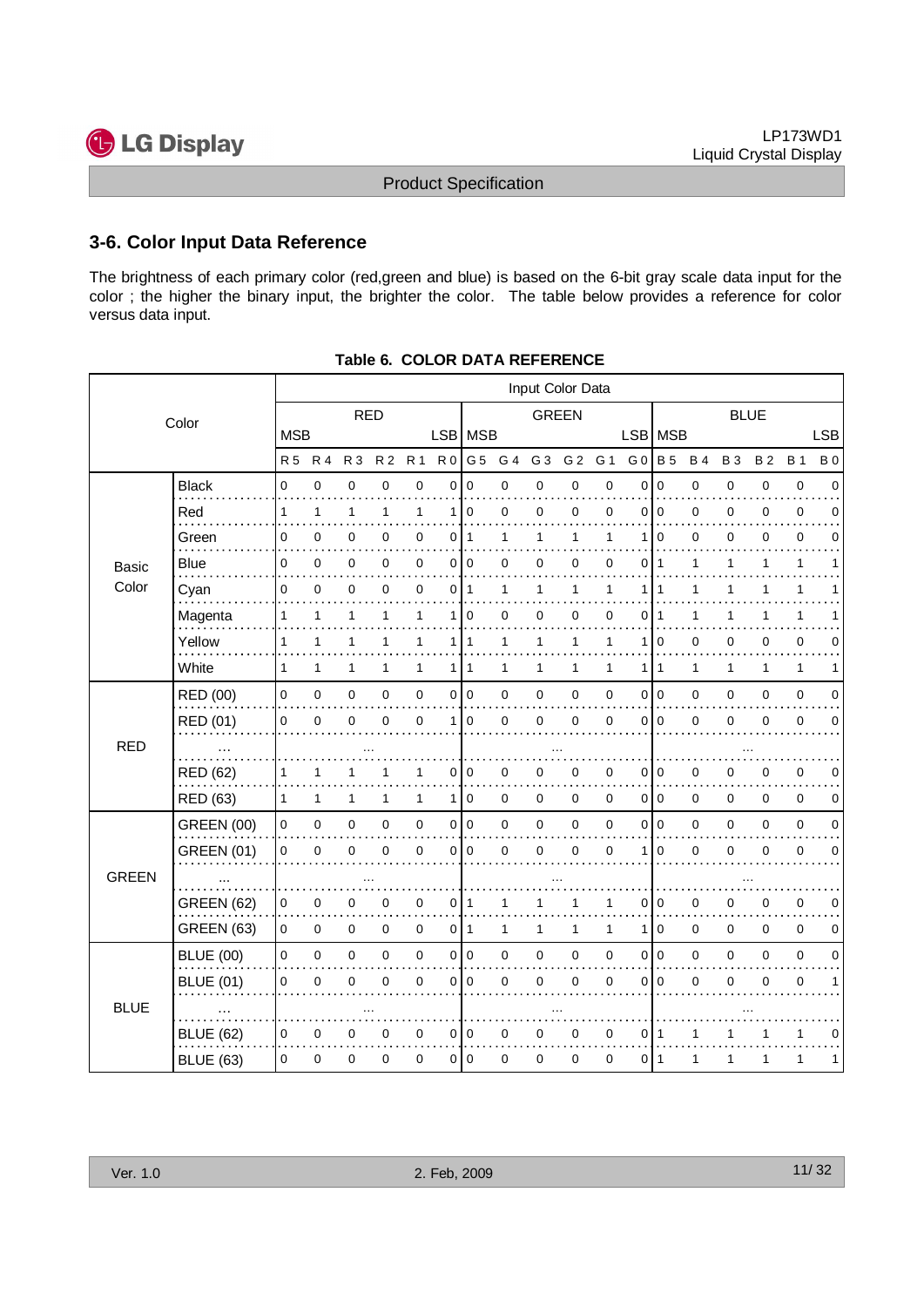![](_page_10_Picture_1.jpeg)

## **3-6. Color Input Data Reference**

| versus data input. | 3-6. Color Input Data Reference<br>The brightness of each primary color (red, green and blue) is based on the 6-bit gray scale data input for the<br>color ; the higher the binary input, the brighter the color. The table below provides a reference for color |              |             |             |             |             |                |             |                                                    |                      |              |                |           |                   |          |             |             |          |                         |
|--------------------|------------------------------------------------------------------------------------------------------------------------------------------------------------------------------------------------------------------------------------------------------------------|--------------|-------------|-------------|-------------|-------------|----------------|-------------|----------------------------------------------------|----------------------|--------------|----------------|-----------|-------------------|----------|-------------|-------------|----------|-------------------------|
|                    |                                                                                                                                                                                                                                                                  |              |             |             |             |             |                |             | <b>Product Specification</b>                       |                      |              |                |           |                   |          |             |             |          |                         |
|                    |                                                                                                                                                                                                                                                                  |              |             |             |             |             |                |             |                                                    |                      |              |                |           |                   |          |             |             |          |                         |
|                    |                                                                                                                                                                                                                                                                  |              |             |             |             |             |                |             |                                                    |                      |              |                |           |                   |          |             |             |          |                         |
|                    |                                                                                                                                                                                                                                                                  |              |             |             |             |             |                |             |                                                    |                      |              |                |           |                   |          |             |             |          |                         |
|                    |                                                                                                                                                                                                                                                                  |              |             |             |             |             |                |             |                                                    |                      |              |                |           |                   |          |             |             |          |                         |
|                    |                                                                                                                                                                                                                                                                  |              |             |             |             |             |                |             | Table 6. COLOR DATA REFERENCE                      |                      |              |                |           |                   |          |             |             |          |                         |
|                    |                                                                                                                                                                                                                                                                  |              |             |             |             |             |                |             |                                                    | Input Color Data     |              |                |           |                   |          |             |             |          |                         |
|                    | Color                                                                                                                                                                                                                                                            |              |             | <b>RED</b>  |             |             |                |             |                                                    | <b>GREEN</b>         |              |                |           |                   |          |             | <b>BLUE</b> |          |                         |
|                    |                                                                                                                                                                                                                                                                  | <b>MSB</b>   |             |             |             |             |                | LSB   MSB   | R5 R4 R3 R2 R1 R0 G5 G4 G3 G2 G1 G0 B5 B4 B3 B2 B1 |                      |              |                |           | LSB MSB           |          |             |             |          | <b>LSB</b><br><b>B0</b> |
|                    | <b>Black</b>                                                                                                                                                                                                                                                     | $\mathbf 0$  | $\Omega$    | U           |             |             | 0              | $\Omega$    |                                                    |                      |              | 0              | 0         |                   | U        | $\Omega$    | 0           | 0        | 0                       |
| <b>Basic</b>       | Red                                                                                                                                                                                                                                                              |              |             |             |             |             |                | $\Omega$    |                                                    | n                    | ŋ            | 0              | O         |                   |          |             | 0           | 0        | 0                       |
|                    | Green                                                                                                                                                                                                                                                            | 0            |             |             |             |             | 0              |             |                                                    |                      |              |                |           |                   |          |             |             | ∩        | 0                       |
|                    | .<br><b>Blue</b>                                                                                                                                                                                                                                                 | 0            |             | 0           |             | 0           | 0              | 0           |                                                    | O                    |              | 0              | 0         |                   |          |             |             |          |                         |
| Color              | Cyan                                                                                                                                                                                                                                                             | $\mathbf 0$  | $\mathbf 0$ | 0           | $\mathbf 0$ | $\mathbf 0$ |                | $0$   1     | $\mathbf 1$                                        | $\mathbf{1}$         | $\mathbf{1}$ | $\overline{1}$ |           | 111               | 1        | $\mathbf 1$ | 1           | -1       | $\mathbf{1}$            |
|                    | Magenta                                                                                                                                                                                                                                                          |              |             |             |             |             |                | $\Omega$    |                                                    | $\Omega$             |              | $\Omega$       |           | 011               |          |             |             |          | 1                       |
|                    | Yellow<br>.                                                                                                                                                                                                                                                      |              |             |             |             |             |                |             |                                                    |                      |              |                |           |                   |          |             |             |          | 0                       |
|                    | White                                                                                                                                                                                                                                                            |              |             |             |             |             | 1              |             |                                                    |                      |              | -1             |           |                   |          | -1          |             |          | 1                       |
|                    | RED (00)                                                                                                                                                                                                                                                         | $\mathbf 0$  | $\Omega$    | U           |             |             | $\Omega$       | $\mathbf 0$ |                                                    |                      |              | $\Omega$       |           |                   | U        |             | $\Omega$    | $\Omega$ | 0                       |
|                    | RED (01)                                                                                                                                                                                                                                                         | $\Omega$     |             | O           |             |             | 1              | $\mathbf 0$ |                                                    | $\Omega$             |              | $\Omega$       | $\Omega$  | l O               | $\Omega$ |             | O           | U        | 0                       |
| <b>RED</b>         | .                                                                                                                                                                                                                                                                |              |             | $\cdots$    |             |             |                |             |                                                    | $\cdots$             |              |                |           |                   |          | $\cdots$    |             |          |                         |
|                    | <b>RED (62)</b>                                                                                                                                                                                                                                                  |              |             |             |             |             | 0              | 0           |                                                    |                      |              | 0              |           |                   |          |             |             |          | 0                       |
|                    | RED (63)                                                                                                                                                                                                                                                         |              |             |             |             |             |                | 1 0         | 0                                                  | 0                    | 0            | 0              |           | 010               | 0        | 0           | 0           | 0        | 0                       |
|                    | <b>GREEN (00)</b>                                                                                                                                                                                                                                                | $\Omega$     | $\Omega$    |             | $\Omega$    | $\Omega$    | 0              | l 0         | $\Omega$                                           | $\Omega$<br>$\Omega$ | 0<br>U       | $\Omega$       |           | 0 I Q<br>$\Omega$ | $\Omega$ | 0           | $\mathbf 0$ | $\Omega$ | 0                       |
| GREEN              | <b>GREEN (01)</b>                                                                                                                                                                                                                                                | $\Omega$     | $\Omega$    | 0           |             |             |                | 0 0         |                                                    |                      |              | $\Omega$       |           |                   | $\Omega$ |             | 0           | $\Omega$ | 0                       |
|                    | .<br><b>GREEN (62)</b>                                                                                                                                                                                                                                           |              | 0           | $\cdots$    |             |             | 0              |             |                                                    | $\cdots$             |              |                |           |                   |          | $\cdots$    | O           |          | 0                       |
|                    | <b>GREEN (63)</b>                                                                                                                                                                                                                                                | $\mathbf{0}$ | $\mathbf 0$ | 0           | 0           | 0           | $\overline{0}$ | -1          |                                                    | 1                    | -1           | -1             | 1         | l 0               | 0        | 0           | 0           | 0        | 0                       |
|                    | <b>BLUE (00)</b>                                                                                                                                                                                                                                                 | $\mathbf 0$  | $\mathbf 0$ | $\mathbf 0$ | $\mathbf 0$ | $\mathbf 0$ |                | 0 0         |                                                    | $\Omega$             | $\Omega$     | $\Omega$       | $0 \cdot$ | l 0               | $\Omega$ | $\mathbf 0$ | $\mathbf 0$ | $\Omega$ | $\mathbf 0$             |
|                    |                                                                                                                                                                                                                                                                  | 0            |             | 0           |             |             | 0              |             |                                                    |                      |              | $\Omega$       |           | 010               | $\Omega$ |             | O           | O        |                         |
|                    |                                                                                                                                                                                                                                                                  |              |             |             |             |             |                | $\mathbf 0$ | $\Omega$                                           | $\Omega$             |              |                |           |                   |          |             |             |          |                         |
| <b>BLUE</b>        | <b>BLUE (01)</b>                                                                                                                                                                                                                                                 |              |             | $\ldots$    |             |             |                |             |                                                    | $\cdots$             |              |                |           |                   |          |             |             |          |                         |
|                    | $\mathbb{R}$<br><b>BLUE (62)</b>                                                                                                                                                                                                                                 |              |             |             |             | 0           | 0              | 0           |                                                    | 0                    |              | 0              | 0         |                   |          |             |             |          | 0<br>.                  |

**Table 6. COLOR DATA REFERENCE**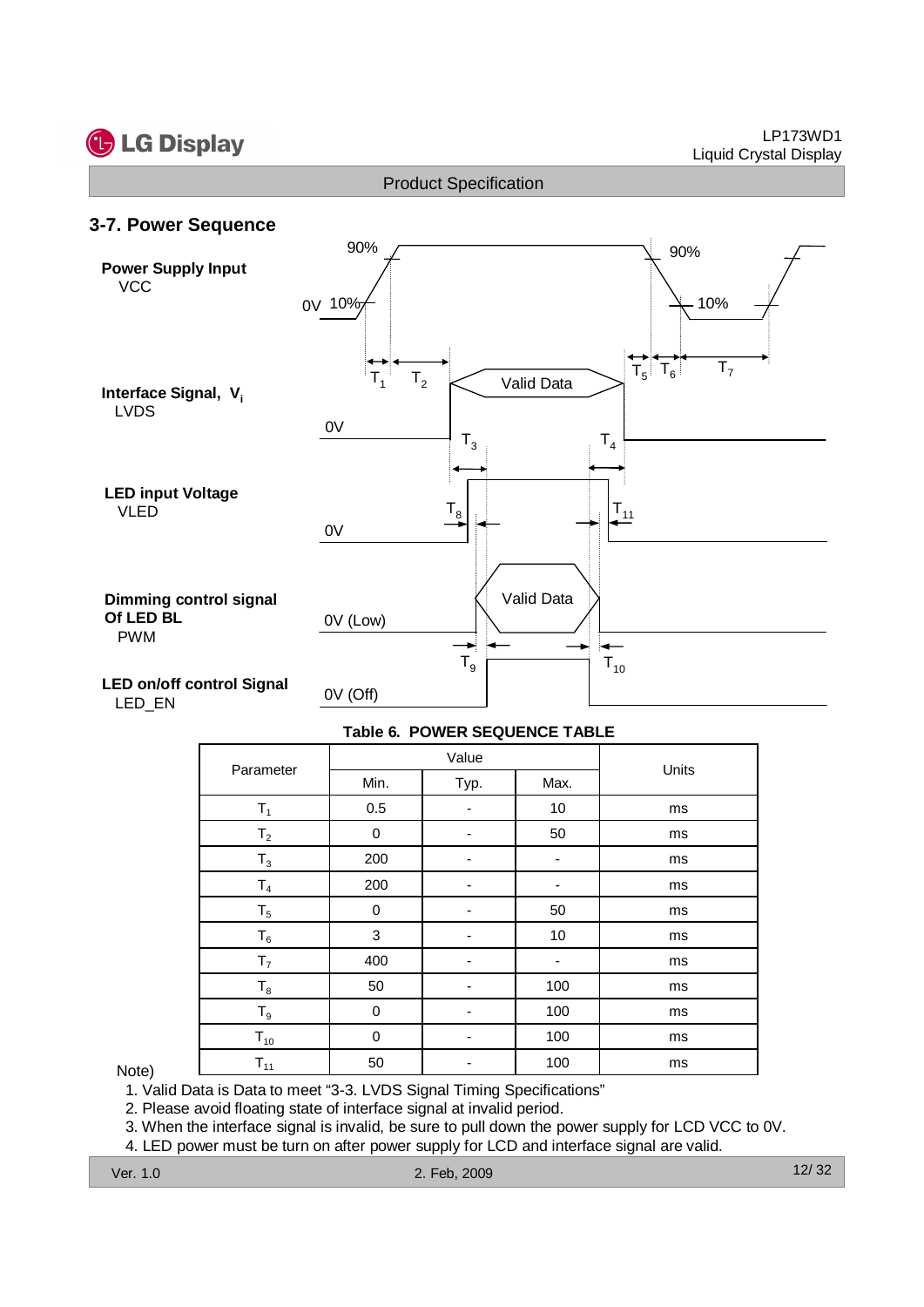![](_page_11_Picture_0.jpeg)

#### LP173WD1 Liquid Crystal Display

Product Specification

![](_page_11_Figure_3.jpeg)

#### **Table 6. POWER SEQUENCE TABLE**

|                |      | Value                    |                          | Units |
|----------------|------|--------------------------|--------------------------|-------|
| Parameter      | Min. | Typ.                     | Max.                     |       |
| $T_1$          | 0.5  | -                        | 10                       | ms    |
| T <sub>2</sub> | 0    | -                        | 50                       | ms    |
| $T_3$          | 200  | -                        | $\overline{\phantom{a}}$ | ms    |
| T <sub>4</sub> | 200  | ۰                        |                          | ms    |
| $T_5$          | 0    | ٠                        | 50                       | ms    |
| $T_6$          | 3    | $\overline{\phantom{a}}$ | 10                       | ms    |
| T <sub>7</sub> | 400  |                          |                          | ms    |
| $T_8$          | 50   |                          | 100                      | ms    |
| $T_9$          | 0    | -                        | 100                      | ms    |
| $T_{10}$       | 0    | $\overline{\phantom{a}}$ | 100                      | ms    |
| $T_{11}$       | 50   |                          | 100                      | ms    |

#### Note)

1. Valid Data is Data to meet "3-3. LVDS Signal Timing Specifications"

2. Please avoid floating state of interface signal at invalid period.

3. When the interface signal is invalid, be sure to pull down the power supply for LCD VCC to 0V.

4. LED power must be turn on after power supply for LCD and interface signal are valid.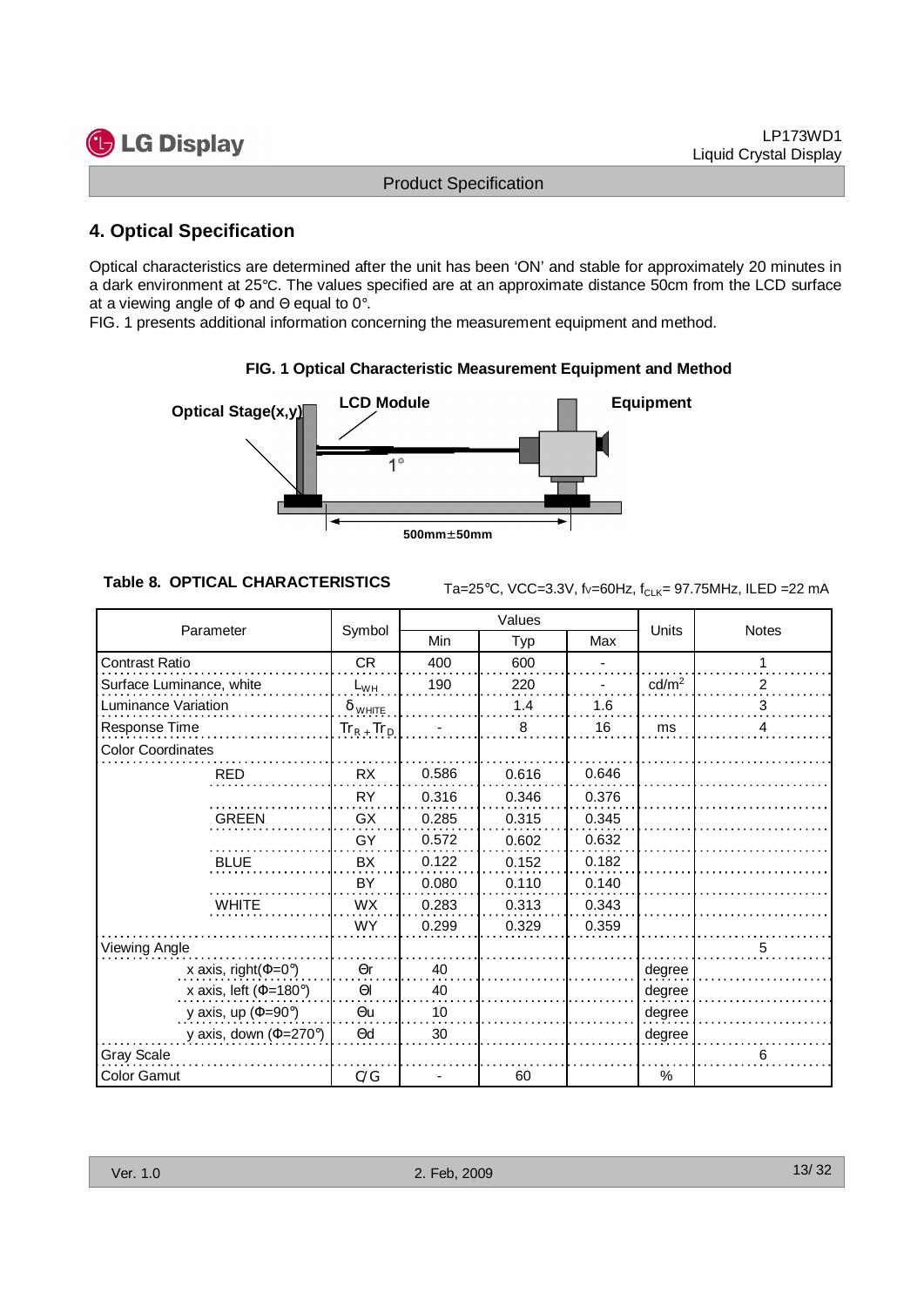## **4. Optical Specification**

![](_page_12_Figure_6.jpeg)

#### **FIG. 1 Optical Characteristic Measurement Equipment and Method**

| <b>G</b> LG Display                             |                                  |                              |                                                                |       |                   | LP173WD1<br><b>Liquid Crystal Display</b>                            |
|-------------------------------------------------|----------------------------------|------------------------------|----------------------------------------------------------------|-------|-------------------|----------------------------------------------------------------------|
|                                                 |                                  | <b>Product Specification</b> |                                                                |       |                   |                                                                      |
| <b>4. Optical Specification</b>                 |                                  |                              |                                                                |       |                   |                                                                      |
| Optical Stage(x,y)                              | <b>LCD Module</b><br>$1^{\circ}$ |                              | FIG. 1 Optical Characteristic Measurement Equipment and Method |       | <b>Equipment</b>  |                                                                      |
|                                                 |                                  | $500mm \pm 50mm$             |                                                                |       |                   |                                                                      |
| <b>Table 8. OPTICAL CHARACTERISTICS</b>         |                                  |                              |                                                                |       |                   | Ta=25°C, VCC=3.3V, fv=60Hz, f <sub>CLK</sub> = 97.75MHz, ILED =22 mA |
| Parameter                                       | Symbol                           |                              | Values                                                         |       | Units             | Notes                                                                |
|                                                 |                                  | Min                          | Typ<br>600                                                     | Max   |                   | $\mathbf{1}$                                                         |
| Contrast Ratio                                  | CR                               | 400                          |                                                                |       |                   |                                                                      |
| Surface Luminance, white<br>Luminance Variation | $L_{WH}$                         | 190                          | 220                                                            | 1.6   | cd/m <sup>2</sup> | $\frac{2}{\cdot}$                                                    |
|                                                 | $\delta$ white                   |                              | 1.4                                                            | 16    | ms                | $\overline{\mathbf{3}}$<br>4                                         |
| Response Time                                   | $Tr_R$ , $Tr_D$                  |                              | $\overline{8}$                                                 |       |                   |                                                                      |
| <b>Color Coordinates</b>                        |                                  |                              |                                                                |       |                   |                                                                      |
| <b>RED</b>                                      | <b>RX</b>                        | 0.586                        | 0.616                                                          | 0.646 |                   |                                                                      |
|                                                 | <b>RY</b>                        | 0.316                        | 0.346                                                          | 0.376 |                   |                                                                      |
| <b>GREEN</b>                                    | GX                               | 0.285                        | 0.315                                                          | 0.345 |                   |                                                                      |
|                                                 | GY                               | 0.572                        | 0.602                                                          | 0.632 |                   |                                                                      |
| <b>BLUE</b>                                     | BX                               | 0.122                        | 0.152                                                          | 0.182 |                   |                                                                      |
|                                                 | BY                               | 0.080                        | 0.110                                                          | 0.140 |                   |                                                                      |
|                                                 |                                  |                              |                                                                |       |                   |                                                                      |
| WHITE                                           | WX                               | 0.283                        | 0.313                                                          | 0.343 |                   |                                                                      |
|                                                 | <b>WY</b>                        | 0.299                        | 0.329                                                          | 0.359 |                   |                                                                      |
| <b>Viewing Angle</b>                            |                                  |                              |                                                                |       |                   | 5                                                                    |
| x axis, right( $\Phi$ =0°)                      | $\Theta$ r                       | 40                           |                                                                |       | degree            |                                                                      |
| x axis, left ( $\Phi$ =180°)                    | $\Theta$                         | 40                           |                                                                |       | degree            |                                                                      |
|                                                 | $\Theta$ u                       | 10                           |                                                                |       | degree            |                                                                      |
| y axis, up ( $\Phi$ =90°)                       |                                  |                              |                                                                |       |                   |                                                                      |
| y axis, down ( $\Phi$ =270°)                    | $\Theta$ d                       | 30                           |                                                                |       | degree            |                                                                      |
| Gray Scale<br>Color Gamut                       | C/G                              | $\blacksquare$               | 60                                                             |       | %                 | 6                                                                    |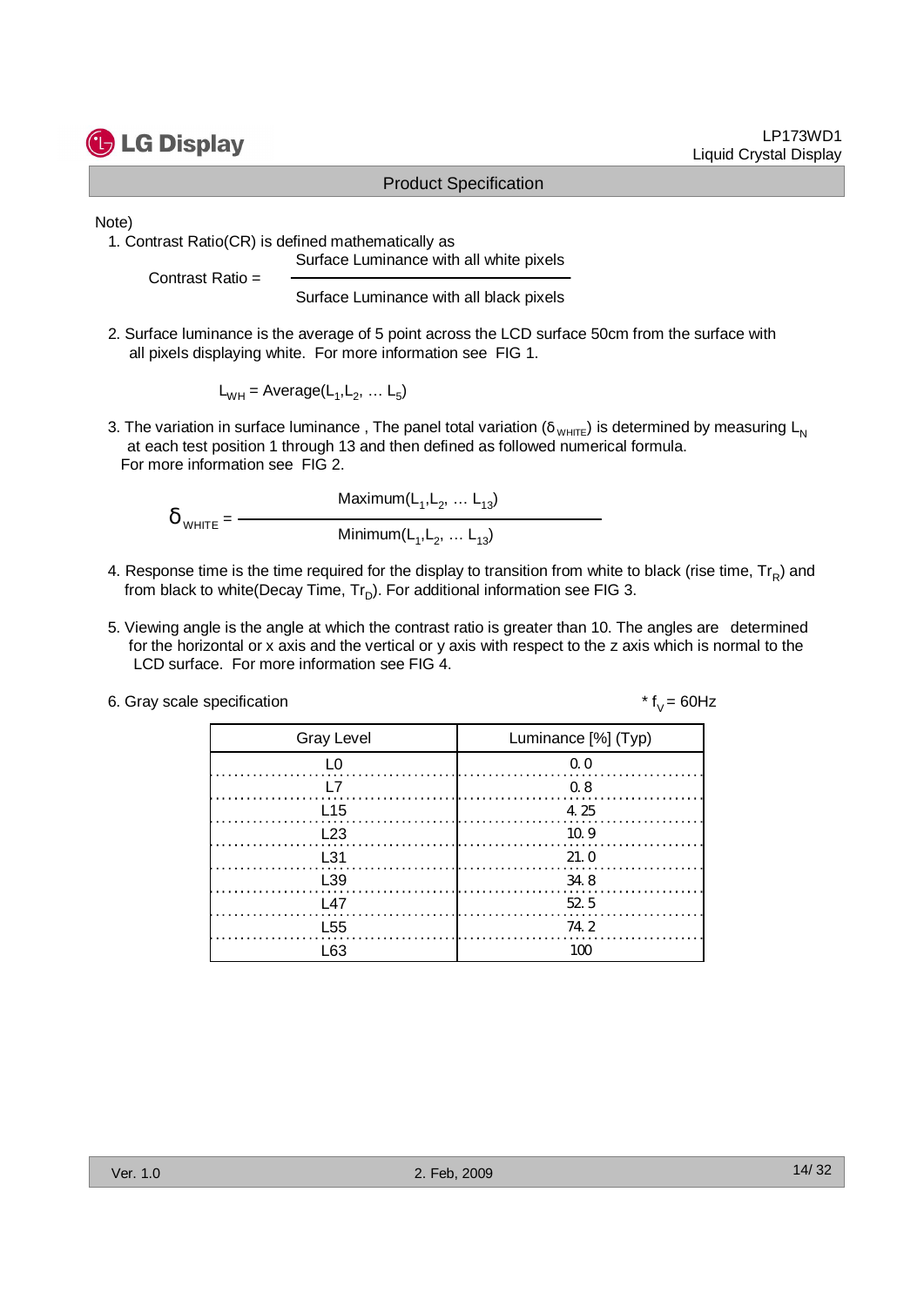![](_page_13_Picture_0.jpeg)

#### LP173WD1 Liquid Crystal Display

#### Product Specification

$$
\delta_{\text{WHITE}} = \frac{\text{Maximum}(L_1, L_2, \dots L_{13})}{\text{Minimum}(L_1, L_2, \dots L_{13})}
$$

- 4. Response time is the time required for the display to transition from white to black (rise time,  $\text{Tr}_{\sf R}$ ) and from black to white(Decay Time,  $\mathsf{Tr}_{\mathsf{D}}$ ). For additional information see FIG 3.
- 5. Viewing angle is the angle at which the contrast ratio is greater than 10. The angles are determined for the horizontal or x axis and the vertical or y axis with respect to the z axis which is normal to the LCD surface. For more information see FIG 4.

| 6. Gray scale specification |  |  |
|-----------------------------|--|--|
|-----------------------------|--|--|

| <b>G</b> LG Display                                         |                                                                                                                              |                                                                                                                                                                                                                      | LP173WD1<br><b>Liquid Crystal Display</b> |
|-------------------------------------------------------------|------------------------------------------------------------------------------------------------------------------------------|----------------------------------------------------------------------------------------------------------------------------------------------------------------------------------------------------------------------|-------------------------------------------|
|                                                             |                                                                                                                              | <b>Product Specification</b>                                                                                                                                                                                         |                                           |
| Note)<br>1. Contrast Ratio(CR) is defined mathematically as | Surface Luminance with all white pixels                                                                                      |                                                                                                                                                                                                                      |                                           |
| Contrast Ratio =                                            | Surface Luminance with all black pixels                                                                                      |                                                                                                                                                                                                                      |                                           |
|                                                             | all pixels displaying white. For more information see FIG 1.                                                                 | 2. Surface luminance is the average of 5 point across the LCD surface 50cm from the surface with                                                                                                                     |                                           |
|                                                             | $L_{WH}$ = Average( $L_1, L_2,  L_5$ )                                                                                       |                                                                                                                                                                                                                      |                                           |
| For more information see FIG 2.                             |                                                                                                                              | 3. The variation in surface luminance, The panel total variation ( $\delta_{WHTE}$ ) is determined by measuring L <sub>N</sub><br>at each test position 1 through 13 and then defined as followed numerical formula. |                                           |
|                                                             |                                                                                                                              |                                                                                                                                                                                                                      |                                           |
| $\delta$ <sub>WHITE</sub> = $-$                             | Maximum(L <sub>1</sub> , L <sub>2</sub> ,  L <sub>13</sub> )<br>Minimum(L <sub>1</sub> , L <sub>2</sub> ,  L <sub>13</sub> ) |                                                                                                                                                                                                                      |                                           |
|                                                             |                                                                                                                              | 4. Response time is the time required for the display to transition from white to black (rise time, $Tr_R$ ) and<br>from black to white(Decay Time, Tr <sub>D</sub> ). For additional information see FIG 3.         |                                           |
|                                                             | LCD surface. For more information see FIG 4.                                                                                 | 5. Viewing angle is the angle at which the contrast ratio is greater than 10. The angles are determined<br>for the horizontal or x axis and the vertical or y axis with respect to the z axis which is normal to the |                                           |
| 6. Gray scale specification                                 |                                                                                                                              |                                                                                                                                                                                                                      | * $f_v = 60$ Hz                           |
|                                                             | <b>Gray Level</b>                                                                                                            | Luminance [%] (Typ)                                                                                                                                                                                                  |                                           |
|                                                             | L <sub>0</sub>                                                                                                               | 0.0                                                                                                                                                                                                                  |                                           |
|                                                             | L7                                                                                                                           | 0.8                                                                                                                                                                                                                  |                                           |
|                                                             | L15                                                                                                                          | 4.25                                                                                                                                                                                                                 |                                           |
|                                                             | L23                                                                                                                          | 10.9                                                                                                                                                                                                                 |                                           |
|                                                             | L31                                                                                                                          | 21.0                                                                                                                                                                                                                 |                                           |
|                                                             | L39                                                                                                                          | 34.8                                                                                                                                                                                                                 |                                           |
|                                                             | L47                                                                                                                          | 52.5                                                                                                                                                                                                                 |                                           |
|                                                             |                                                                                                                              |                                                                                                                                                                                                                      |                                           |
|                                                             | L <sub>55</sub>                                                                                                              | 74.2                                                                                                                                                                                                                 |                                           |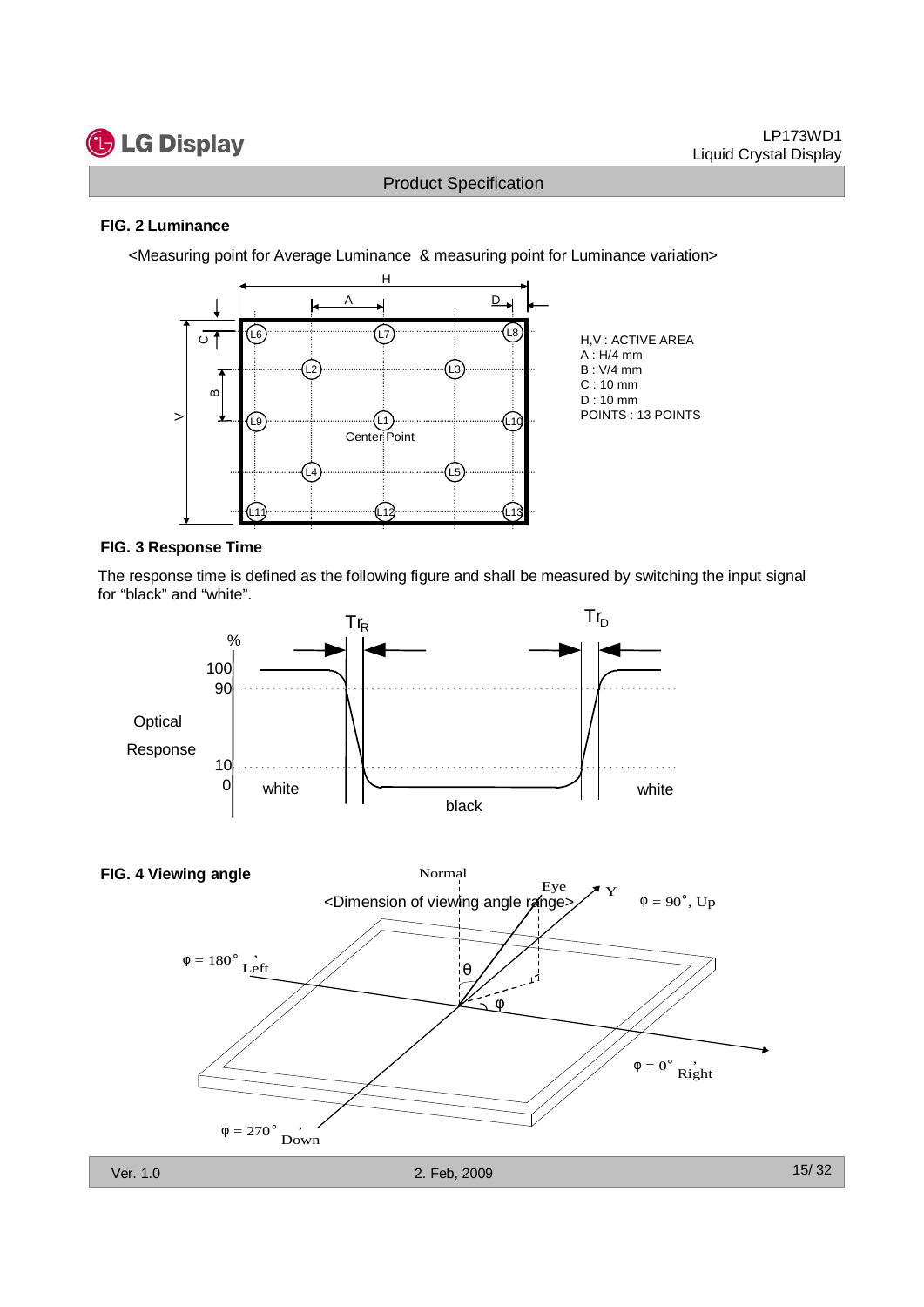![](_page_14_Picture_0.jpeg)

#### **FIG. 2 Luminance**

<Measuring point for Average Luminance & measuring point for Luminance variation>

![](_page_14_Figure_5.jpeg)

#### **FIG. 3 Response Time**

The response time is defined as the following figure and shall be measured by switching the input signal for "black" and "white".

![](_page_14_Figure_8.jpeg)

![](_page_14_Figure_9.jpeg)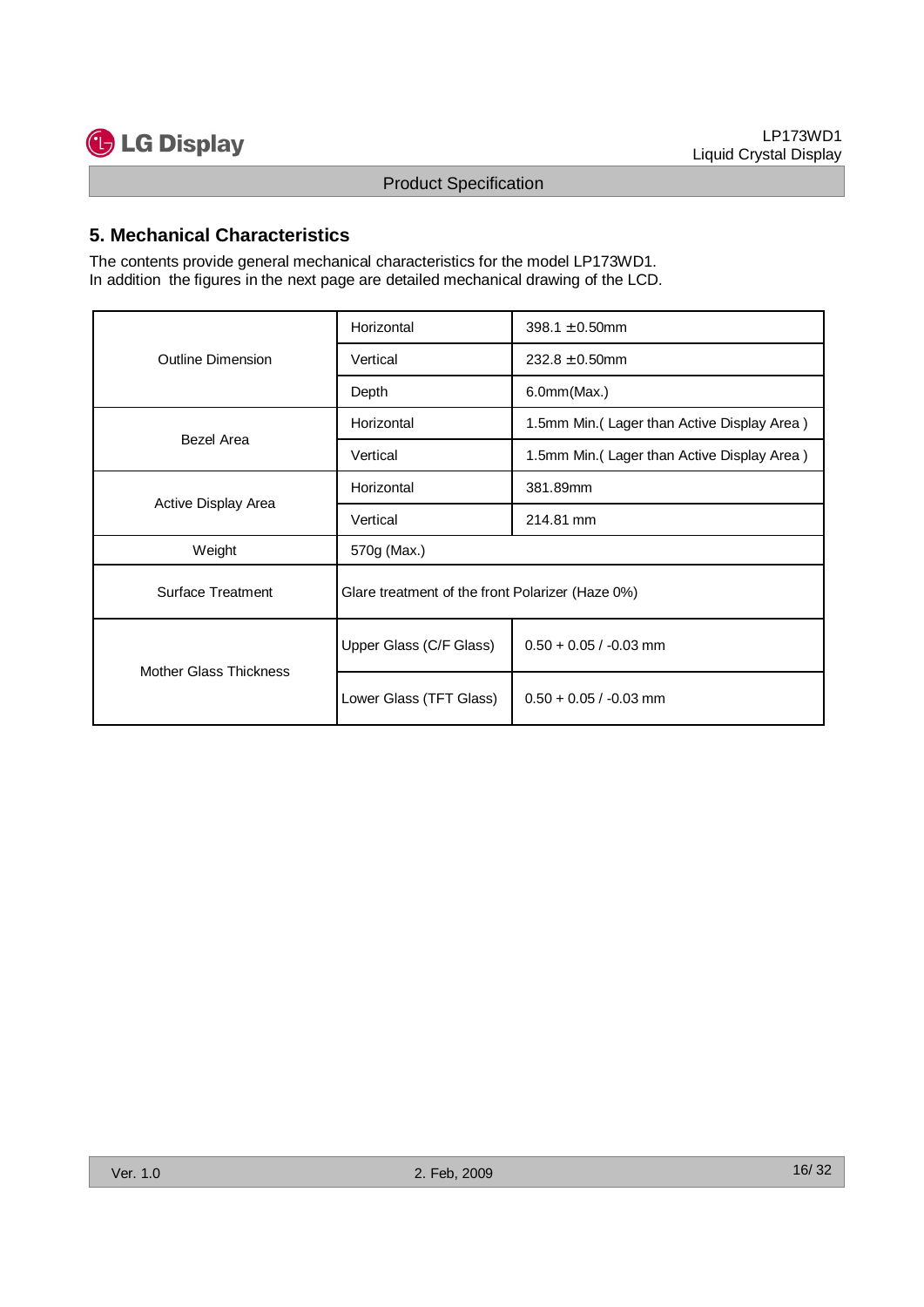![](_page_15_Picture_0.jpeg)

## **5. Mechanical Characteristics**

| <b>G</b> LG Display                                                                                                                                                     |                                                  | Liquid Crystal Display                     |
|-------------------------------------------------------------------------------------------------------------------------------------------------------------------------|--------------------------------------------------|--------------------------------------------|
|                                                                                                                                                                         | <b>Product Specification</b>                     |                                            |
| 5. Mechanical Characteristics                                                                                                                                           |                                                  |                                            |
| The contents provide general mechanical characteristics for the model LP173WD1.<br>In addition the figures in the next page are detailed mechanical drawing of the LCD. |                                                  |                                            |
|                                                                                                                                                                         | Horizontal                                       | 398.1 $\pm$ 0.50mm                         |
| Outline Dimension                                                                                                                                                       | Vertical                                         | $232.8 \pm 0.50$ mm                        |
|                                                                                                                                                                         | Depth                                            | 6.0mm(Max.)                                |
|                                                                                                                                                                         | Horizontal                                       | 1.5mm Min.(Lager than Active Display Area) |
| Bezel Area                                                                                                                                                              | Vertical                                         | 1.5mm Min.(Lager than Active Display Area) |
|                                                                                                                                                                         | Horizontal                                       | 381.89mm                                   |
| Active Display Area                                                                                                                                                     | Vertical                                         | 214.81 mm                                  |
| Weight                                                                                                                                                                  | 570g (Max.)                                      |                                            |
| <b>Surface Treatment</b>                                                                                                                                                | Glare treatment of the front Polarizer (Haze 0%) |                                            |
|                                                                                                                                                                         | Upper Glass (C/F Glass)                          | $0.50 + 0.05 / -0.03$ mm                   |
| Mother Glass Thickness                                                                                                                                                  | Lower Glass (TFT Glass)                          | $0.50 + 0.05 / -0.03$ mm                   |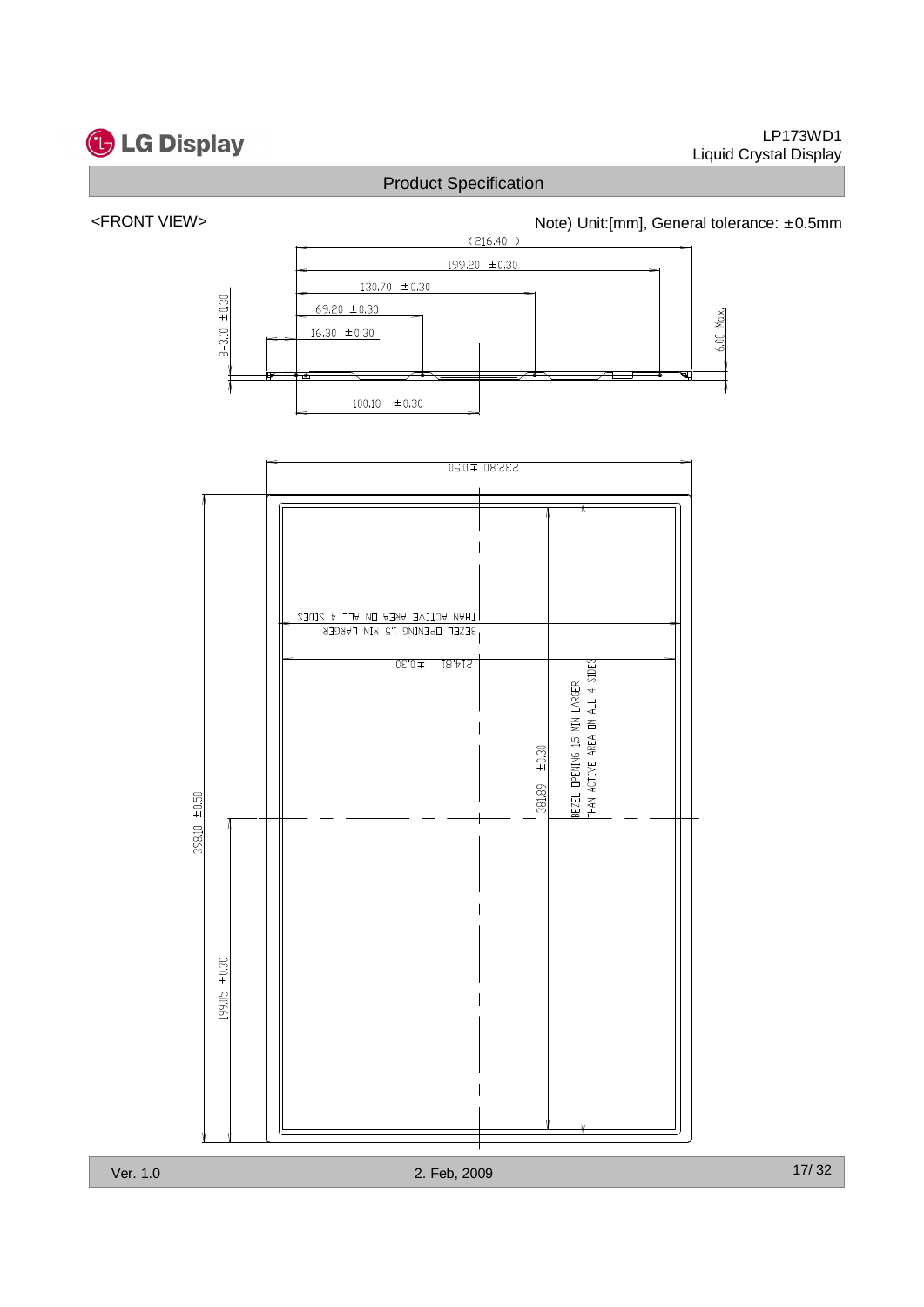![](_page_16_Picture_0.jpeg)

#### LP173WD1 Liquid Crystal Display

## Product Specification

## <FRONT VIEW> <http://www.matchbook.com/hotel/doint/filmm], General tolerance: ± 0.5mm

![](_page_16_Figure_5.jpeg)

![](_page_16_Figure_6.jpeg)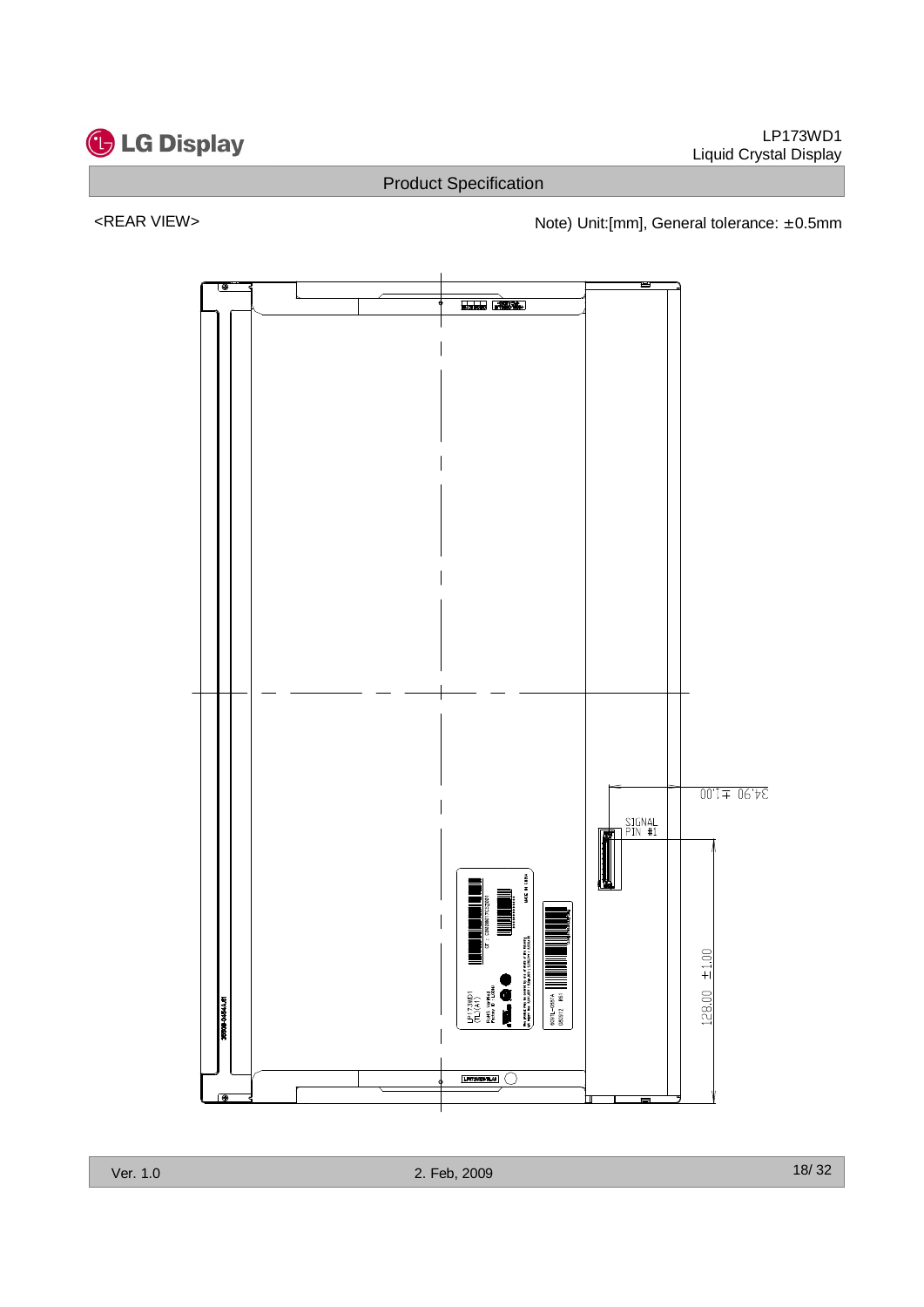![](_page_17_Picture_0.jpeg)

<REAR VIEW> <networkstate of the Note) Unit:[mm], General tolerance: ± 0.5mm

![](_page_17_Figure_5.jpeg)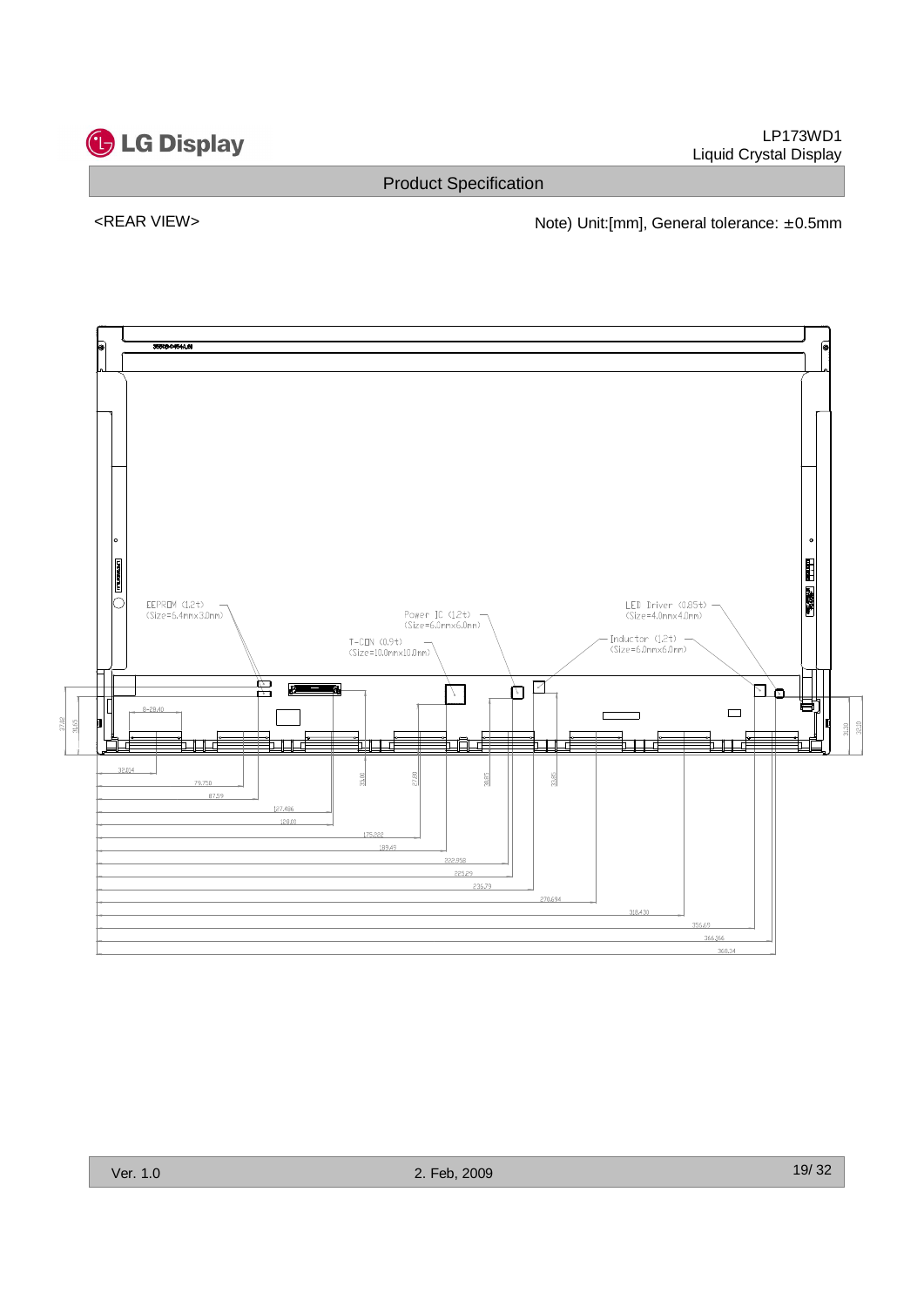![](_page_18_Picture_0.jpeg)

![](_page_18_Figure_1.jpeg)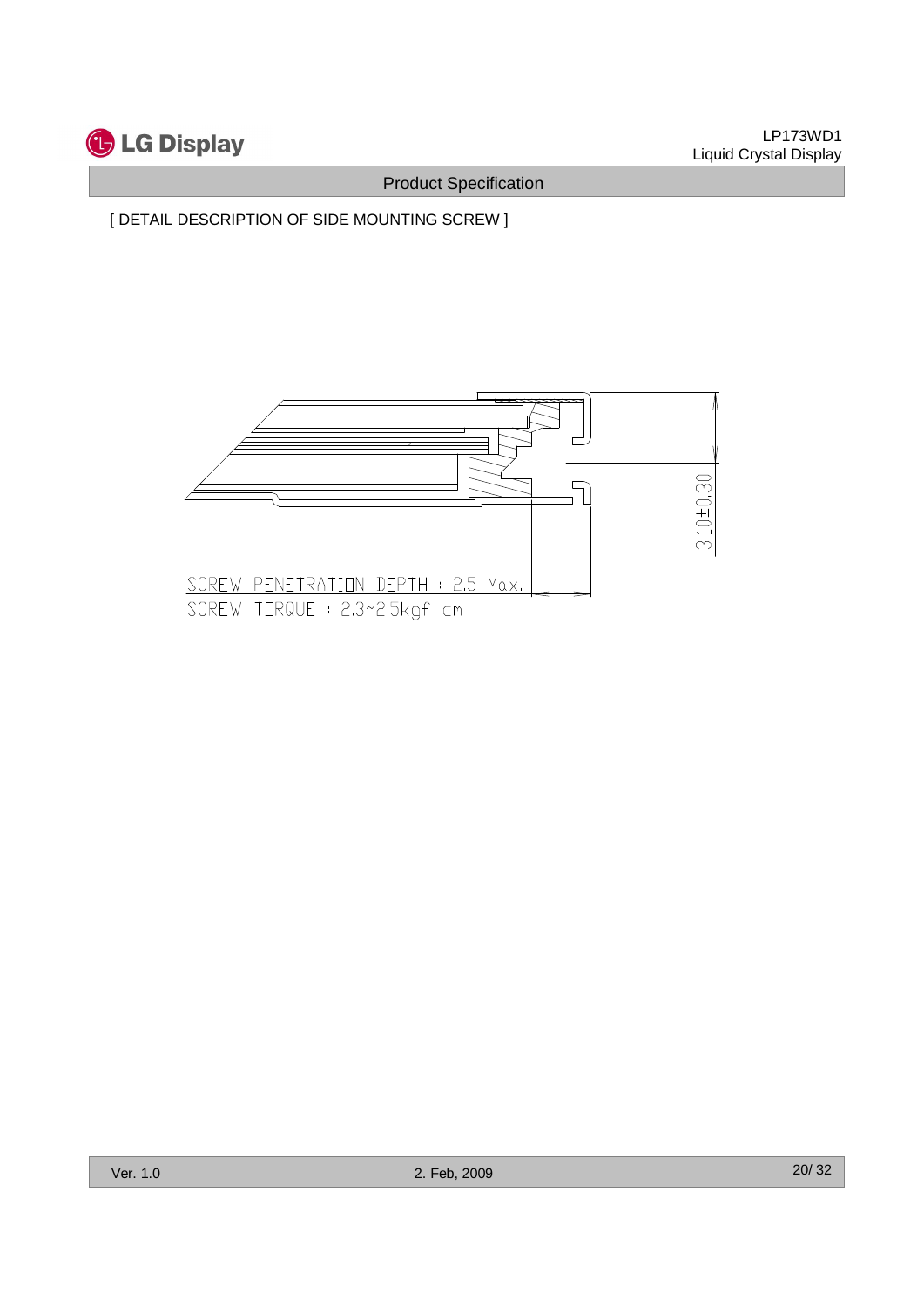![](_page_19_Picture_0.jpeg)

[ DETAIL DESCRIPTION OF SIDE MOUNTING SCREW ]

![](_page_19_Figure_4.jpeg)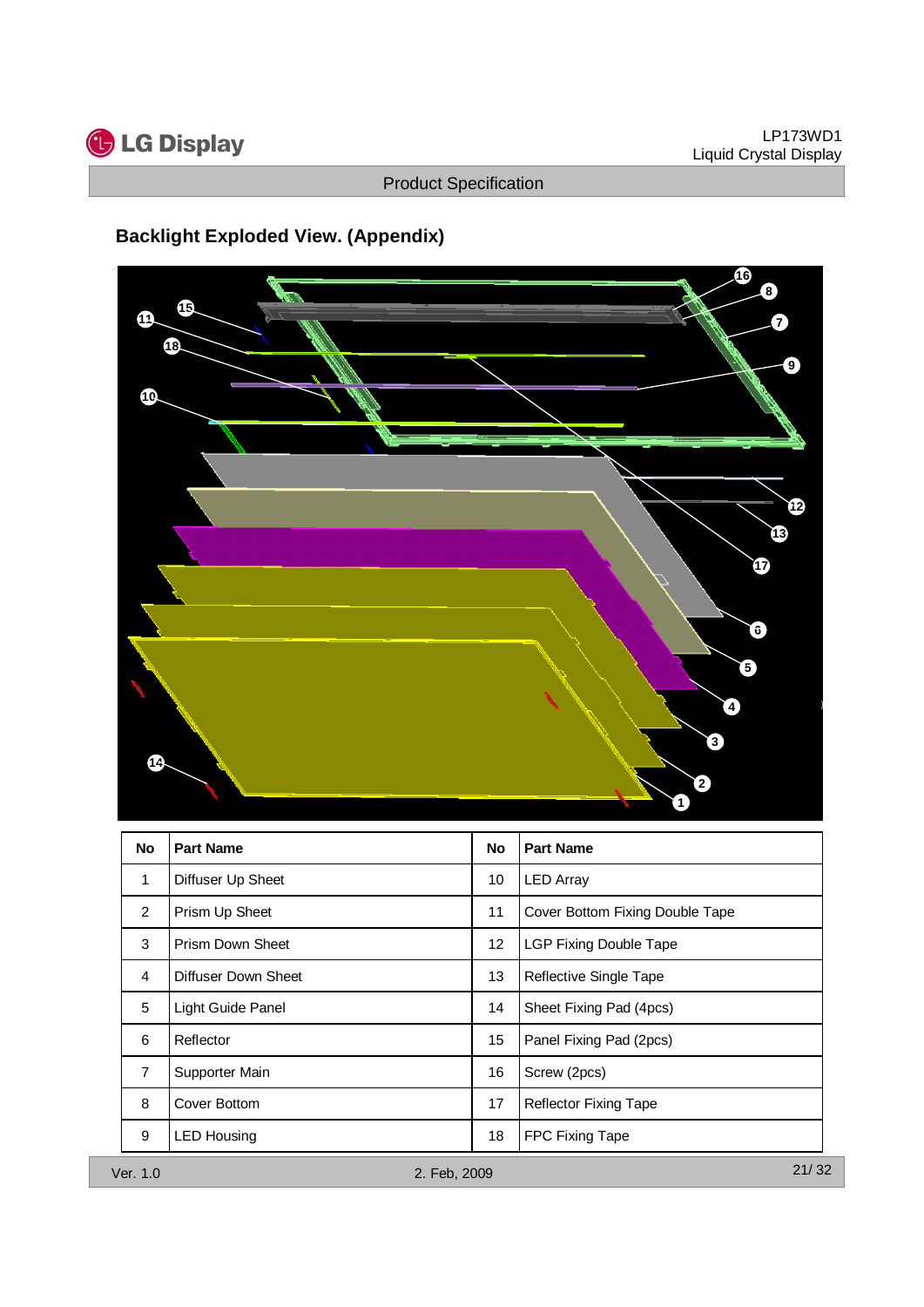![](_page_20_Picture_0.jpeg)

# **Backlight Exploded View. (Appendix)**

![](_page_20_Figure_4.jpeg)

| No             | <b>Part Name</b>        | No | <b>Part Name</b>                |
|----------------|-------------------------|----|---------------------------------|
| 1              | Diffuser Up Sheet       | 10 | <b>LED Array</b>                |
| 2              | Prism Up Sheet          | 11 | Cover Bottom Fixing Double Tape |
| 3              | <b>Prism Down Sheet</b> | 12 | <b>LGP Fixing Double Tape</b>   |
| 4              | Diffuser Down Sheet     | 13 | Reflective Single Tape          |
| 5              | Light Guide Panel       | 14 | Sheet Fixing Pad (4pcs)         |
| 6              | Reflector               | 15 | Panel Fixing Pad (2pcs)         |
| $\overline{7}$ | Supporter Main          | 16 | Screw (2pcs)                    |
| 8              | Cover Bottom            | 17 | <b>Reflector Fixing Tape</b>    |
| 9              | <b>LED Housing</b>      | 18 | FPC Fixing Tape                 |
| Ver. 1.0       | 2. Feb, 2009            |    | 21/32                           |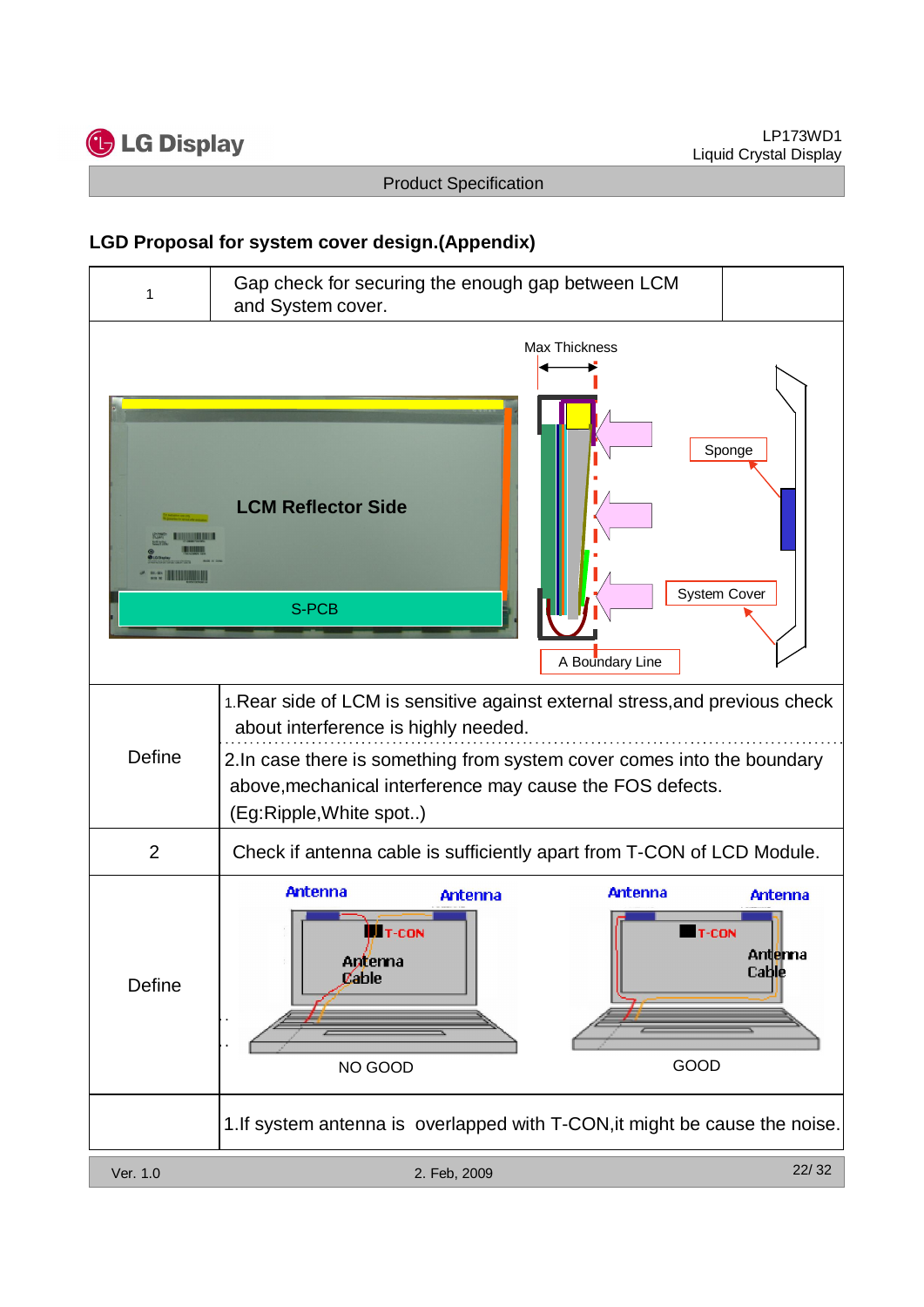![](_page_21_Picture_0.jpeg)

## **LGD Proposal for system cover design.(Appendix)**

![](_page_21_Figure_4.jpeg)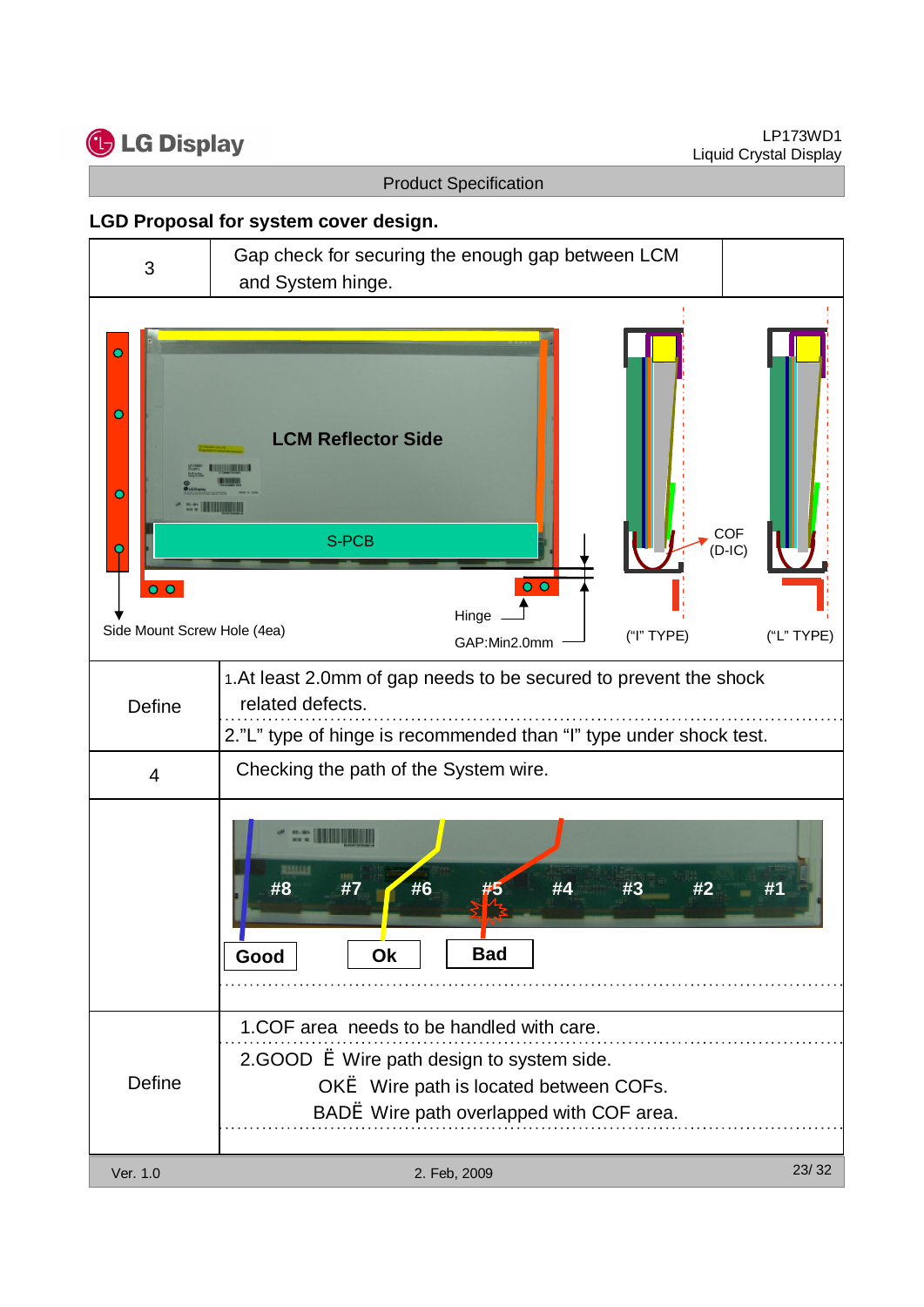![](_page_22_Picture_0.jpeg)

### **LGD Proposal for system cover design.**

![](_page_22_Figure_4.jpeg)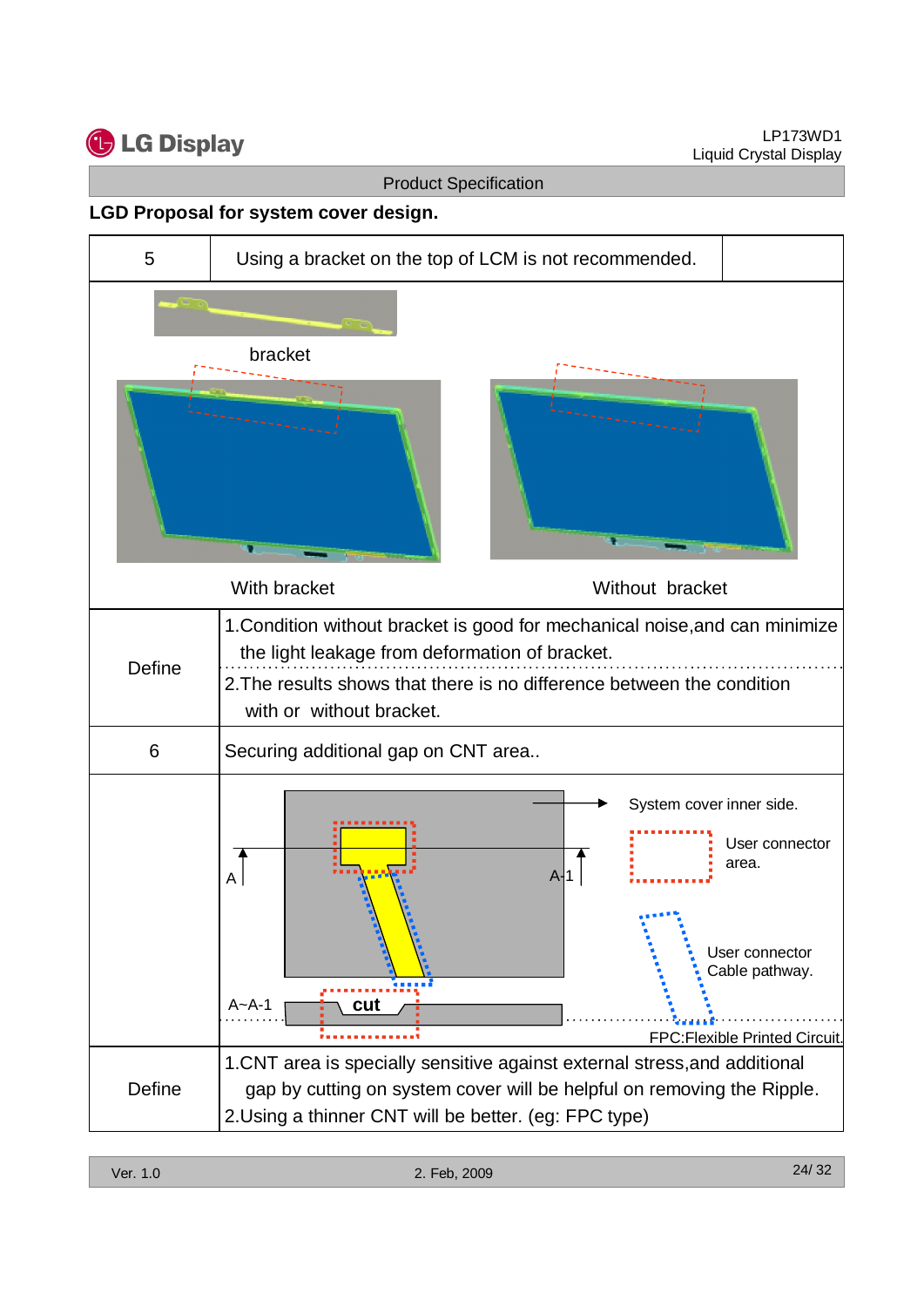![](_page_23_Picture_0.jpeg)

#### **LGD Proposal for system cover design.**

![](_page_23_Figure_4.jpeg)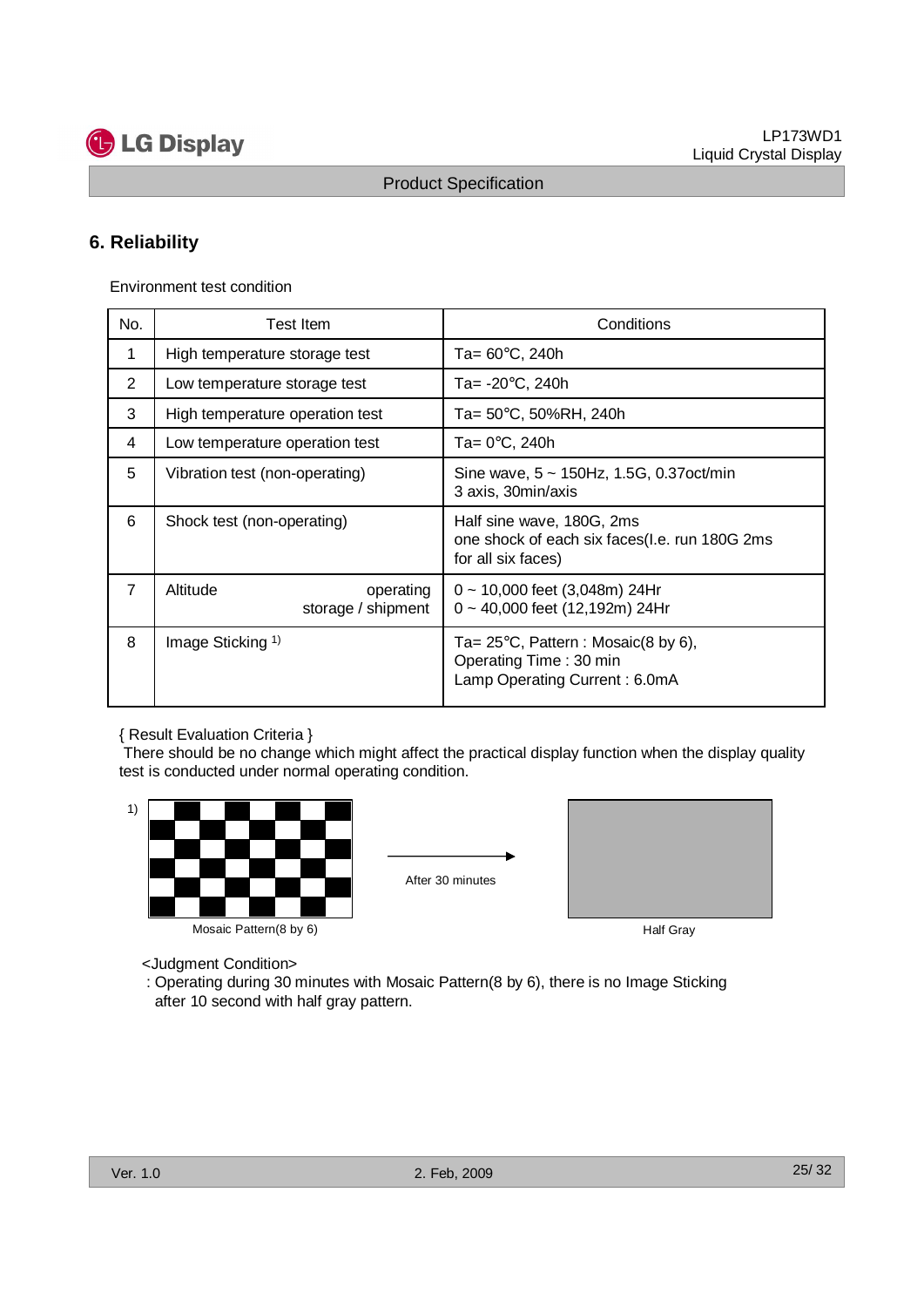![](_page_24_Picture_0.jpeg)

## **6. Reliability**

|                |                                                                  | <b>Product Specification</b>                                                                             |
|----------------|------------------------------------------------------------------|----------------------------------------------------------------------------------------------------------|
|                |                                                                  |                                                                                                          |
| 6. Reliability |                                                                  |                                                                                                          |
|                | Environment test condition                                       |                                                                                                          |
|                |                                                                  |                                                                                                          |
| No.            | Test Item                                                        | Conditions                                                                                               |
| $\mathbf{1}$   | High temperature storage test                                    | Ta= $60^{\circ}$ C, 240h                                                                                 |
| $\overline{2}$ | Low temperature storage test                                     | Ta= $-20^{\circ}$ C, 240h                                                                                |
| 3<br>4         | High temperature operation test                                  | Ta= 50°C, 50%RH, 240h<br>Ta= $0^\circ$ C, 240h                                                           |
| 5              | Low temperature operation test<br>Vibration test (non-operating) | Sine wave, 5 ~ 150Hz, 1.5G, 0.37oct/min                                                                  |
|                |                                                                  | 3 axis, 30min/axis                                                                                       |
| 6              | Shock test (non-operating)                                       | Half sine wave, 180G, 2ms<br>one shock of each six faces(I.e. run 180G 2ms<br>for all six faces)         |
| $\overline{7}$ | Altitude<br>operating<br>storage / shipment                      | $0 \sim 10,000$ feet (3,048m) 24Hr<br>0 ~ 40,000 feet (12,192m) 24Hr                                     |
| 8              | Image Sticking <sup>1)</sup>                                     | Ta= $25^{\circ}$ C, Pattern : Mosaic(8 by 6),<br>Operating Time: 30 min<br>Lamp Operating Current: 6.0mA |

#### { Result Evaluation Criteria }

![](_page_24_Figure_8.jpeg)

![](_page_24_Picture_10.jpeg)

![](_page_24_Picture_11.jpeg)

- <Judgment Condition>
- : Operating during 30 minutes with Mosaic Pattern(8 by 6), there is no Image Sticking after 10 second with half gray pattern.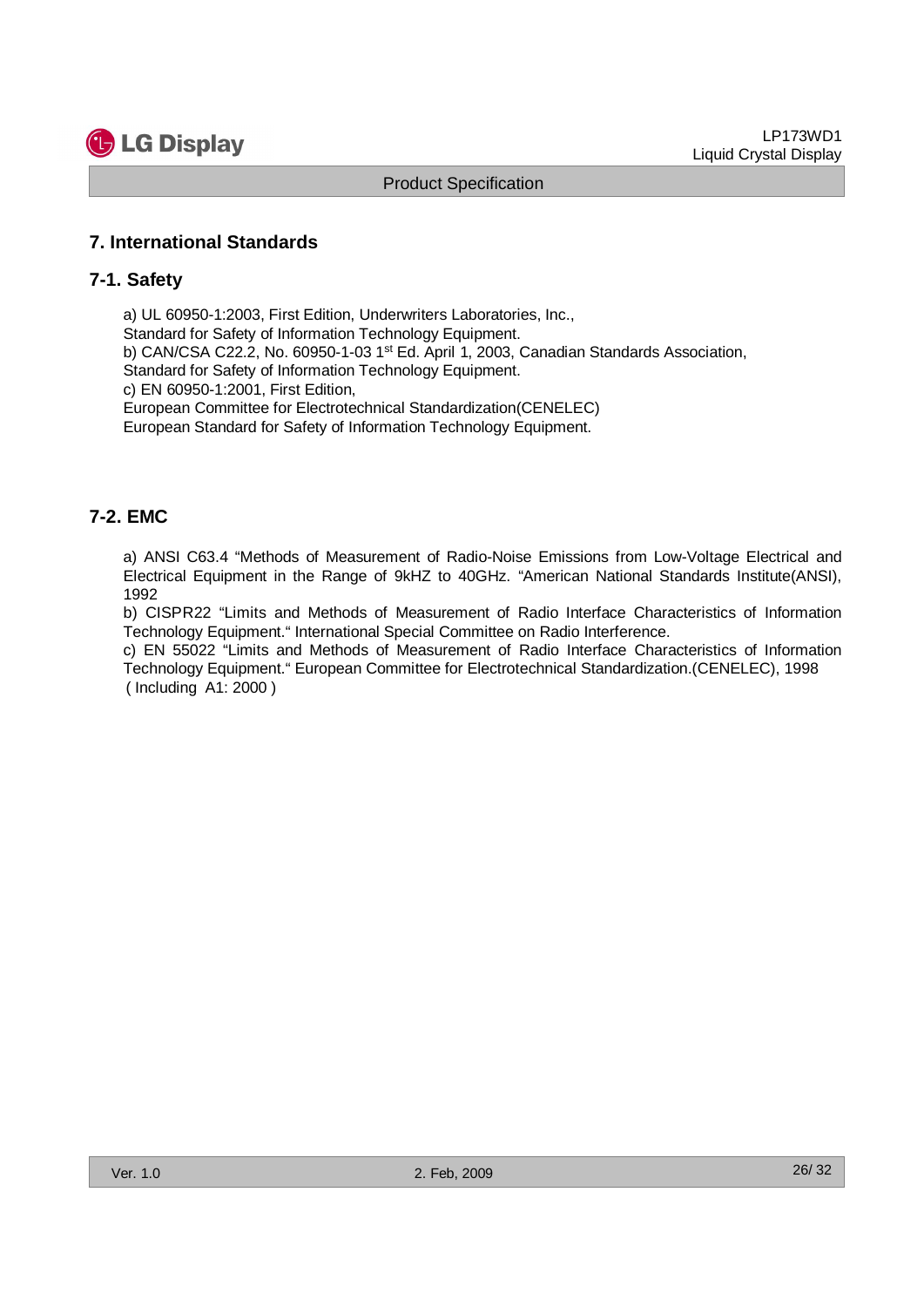![](_page_25_Picture_0.jpeg)

### **7. International Standards**

#### **7-1. Safety**

a) UL 60950-1:2003, First Edition, Underwriters Laboratories, Inc., Standard for Safety of Information Technology Equipment. b) CAN/CSA C22.2, No. 60950-1-03 1<sup>st</sup> Ed. April 1, 2003, Canadian Standards Association, Standard for Safety of Information Technology Equipment. c) EN 60950-1:2001, First Edition, European Committee for Electrotechnical Standardization(CENELEC) European Standard for Safety of Information Technology Equipment. **Contact Specification**<br> **Weddet Specification**<br> **Weddet Specification**<br> **Weddet Specification**<br> **Weddet School Specification**<br> **Weddet School Specification**<br> **Weddet School Specification**<br> **Weddet School Specification**<br>

### **7-2. EMC**

a) ANSI C63.4 "Methods of Measurement of Radio-Noise Emissions from Low-Voltage Electrical and Electrical Equipment in the Range of 9kHZ to 40GHz. "American National Standards Institute(ANSI), 1992

b) CISPR22 "Limits and Methods of Measurement of Radio Interface Characteristics of Information Technology Equipment." International Special Committee on Radio Interference.

c) EN 55022 "Limits and Methods of Measurement of Radio Interface Characteristics of Information Technology Equipment." European Committee for Electrotechnical Standardization.(CENELEC), 1998 ( Including A1: 2000 )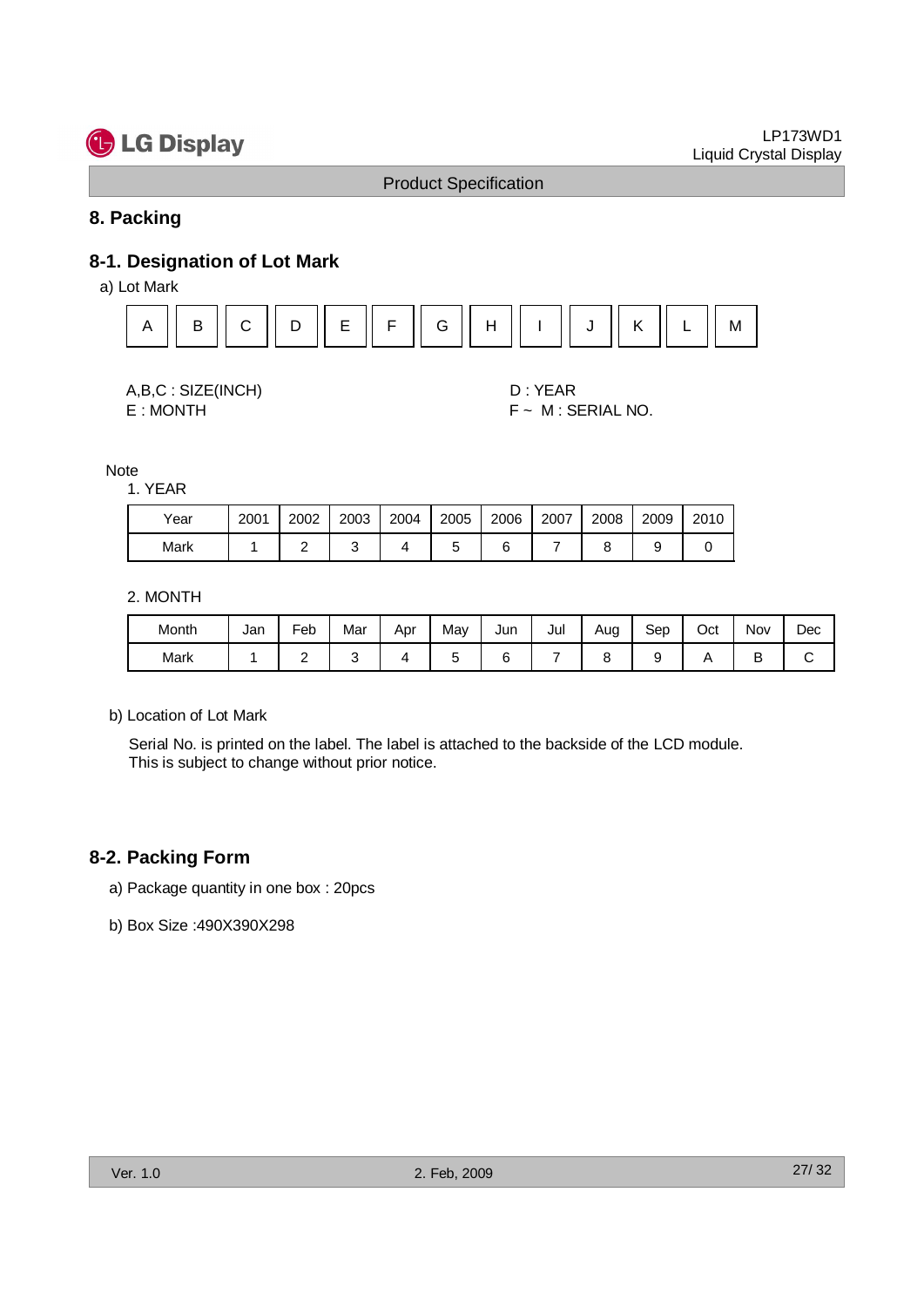## **8. Packing**

## **8-1. Designation of Lot Mark**

![](_page_26_Figure_6.jpeg)

| A,B,C: SIZE(INCH)           |
|-----------------------------|
| $F \cdot M \cap N$ $T \cup$ |

#### 1. YEAR

| Year | 2001 | 2002 | 2003 | 2004 | 2005 | 2006 | 2007 | 2008 | 2009 | 2010 |
|------|------|------|------|------|------|------|------|------|------|------|
| Mark |      |      |      |      |      |      |      |      |      |      |

#### 2. MONTH

| <b>G</b> LG Display                                                                          |                |                |              |                |                |                              |                |                    |      |              | Liquid Crystal Display | LP173WD1  |
|----------------------------------------------------------------------------------------------|----------------|----------------|--------------|----------------|----------------|------------------------------|----------------|--------------------|------|--------------|------------------------|-----------|
|                                                                                              |                |                |              |                |                | <b>Product Specification</b> |                |                    |      |              |                        |           |
| 8. Packing                                                                                   |                |                |              |                |                |                              |                |                    |      |              |                        |           |
| 8-1. Designation of Lot Mark<br>a) Lot Mark                                                  |                |                |              |                |                |                              |                |                    |      |              |                        |           |
| B<br>$\mathsf{A}$                                                                            | $\mathsf C$    | D              | $\mathsf E$  | $\mathsf F$    | G              | H                            |                | J                  | Κ    | L            | M                      |           |
|                                                                                              |                |                |              |                |                |                              |                |                    |      |              |                        |           |
| A,B,C: SIZE(INCH)                                                                            |                |                |              |                |                |                              | D: YEAR        |                    |      |              |                        |           |
| E:MONTH                                                                                      |                |                |              |                |                |                              |                | F ~ M : SERIAL NO. |      |              |                        |           |
| Note                                                                                         |                |                |              |                |                |                              |                |                    |      |              |                        |           |
| 1. YEAR                                                                                      |                |                |              |                |                |                              |                |                    |      |              |                        |           |
| Year                                                                                         | 2001           | 2002           | 2003         | 2004           | 2005           | 2006                         | 2007           | 2008               | 2009 | 2010         |                        |           |
| Mark                                                                                         | $\mathbf{1}$   | $\overline{2}$ | 3            | $\overline{4}$ | $\sqrt{5}$     | 6                            | $\overline{7}$ | 8                  | 9    | $\mathbf 0$  |                        |           |
| 2. MONTH                                                                                     |                |                |              |                |                |                              |                |                    |      |              |                        |           |
| Month                                                                                        | Jan            | Feb            | Mar          | Apr            | May            | Jun                          | Jul            | Aug                | Sep  | Oct          | Nov                    | Dec       |
| Mark                                                                                         | $\overline{1}$ | $\overline{2}$ | $\mathbf{3}$ | $\overline{4}$ | $\overline{5}$ | 6                            | $\overline{7}$ | 8                  | 9    | $\mathsf{A}$ | B                      | ${\bf C}$ |
| b) Location of Lot Mark                                                                      |                |                |              |                |                |                              |                |                    |      |              |                        |           |
| Serial No. is printed on the label. The label is attached to the backside of the LCD module. |                |                |              |                |                |                              |                |                    |      |              |                        |           |
| This is subject to change without prior notice.                                              |                |                |              |                |                |                              |                |                    |      |              |                        |           |
|                                                                                              |                |                |              |                |                |                              |                |                    |      |              |                        |           |
|                                                                                              |                |                |              |                |                |                              |                |                    |      |              |                        |           |
| 8-2. Packing Form                                                                            |                |                |              |                |                |                              |                |                    |      |              |                        |           |
| a) Package quantity in one box: 20pcs                                                        |                |                |              |                |                |                              |                |                    |      |              |                        |           |
| b) Box Size: 490X390X298                                                                     |                |                |              |                |                |                              |                |                    |      |              |                        |           |

#### **8-2. Packing Form**

- a) Package quantity in one box : 20pcs
- b) Box Size :490X390X298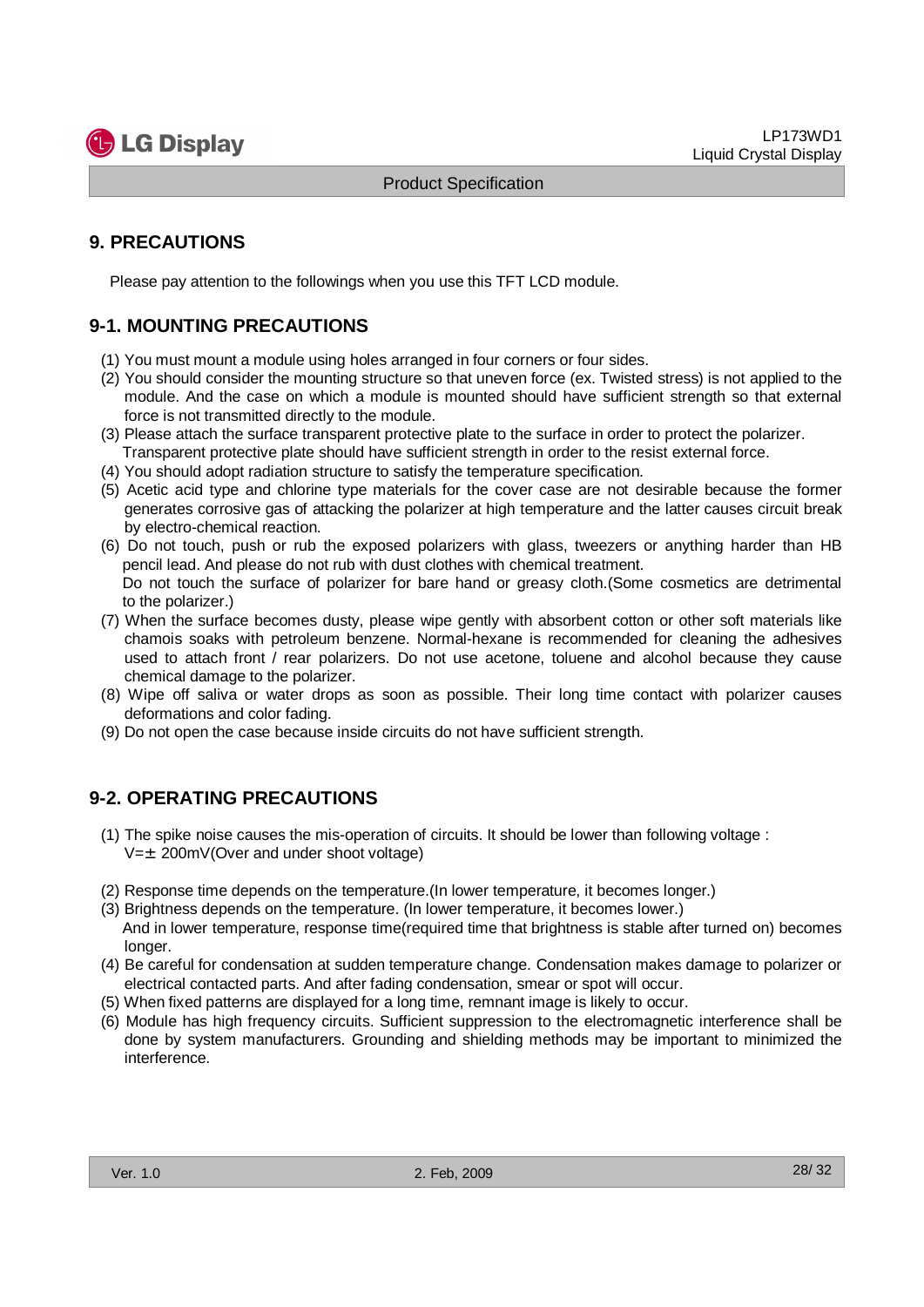![](_page_27_Picture_1.jpeg)

## **9. PRECAUTIONS**

Please pay attention to the followings when you use this TFT LCD module.

## **9-1. MOUNTING PRECAUTIONS**

- (1) You must mount a module using holes arranged in four corners or four sides.
- (2) You should consider the mounting structure so that uneven force (ex. Twisted stress) is not applied to the module. And the case on which a module is mounted should have sufficient strength so that external force is not transmitted directly to the module.
- (3) Please attach the surface transparent protective plate to the surface in order to protect the polarizer. Transparent protective plate should have sufficient strength in order to the resist external force.
- (4) You should adopt radiation structure to satisfy the temperature specification.
- (5) Acetic acid type and chlorine type materials for the cover case are not desirable because the former generates corrosive gas of attacking the polarizer at high temperature and the latter causes circuit break by electro-chemical reaction.
- (6) Do not touch, push or rub the exposed polarizers with glass, tweezers or anything harder than HB pencil lead. And please do not rub with dust clothes with chemical treatment. Do not touch the surface of polarizer for bare hand or greasy cloth.(Some cosmetics are detrimental to the polarizer.)
- (7) When the surface becomes dusty, please wipe gently with absorbent cotton or other soft materials like chamois soaks with petroleum benzene. Normal-hexane is recommended for cleaning the adhesives used to attach front / rear polarizers. Do not use acetone, toluene and alcohol because they cause chemical damage to the polarizer. **CG** Display Product Spectroston<br> **We are the controller of the controller of the controller of the controller of the controller of the controller of the controller of the controller of the controller of the controller of** 
	- (8) Wipe off saliva or water drops as soon as possible. Their long time contact with polarizer causes deformations and color fading.
	- (9) Do not open the case because inside circuits do not have sufficient strength.

## **9-2. OPERATING PRECAUTIONS**

- (1) The spike noise causes the mis-operation of circuits. It should be lower than following voltage :  $V=\pm 200$ mV(Over and under shoot voltage)
- (2) Response time depends on the temperature.(In lower temperature, it becomes longer.)
- (3) Brightness depends on the temperature. (In lower temperature, it becomes lower.) And in lower temperature, response time(required time that brightness is stable after turned on) becomes longer.
- (4) Be careful for condensation at sudden temperature change. Condensation makes damage to polarizer or electrical contacted parts. And after fading condensation, smear or spot will occur.
- (5) When fixed patterns are displayed for a long time, remnant image is likely to occur.
- (6) Module has high frequency circuits. Sufficient suppression to the electromagnetic interference shall be done by system manufacturers. Grounding and shielding methods may be important to minimized the interference.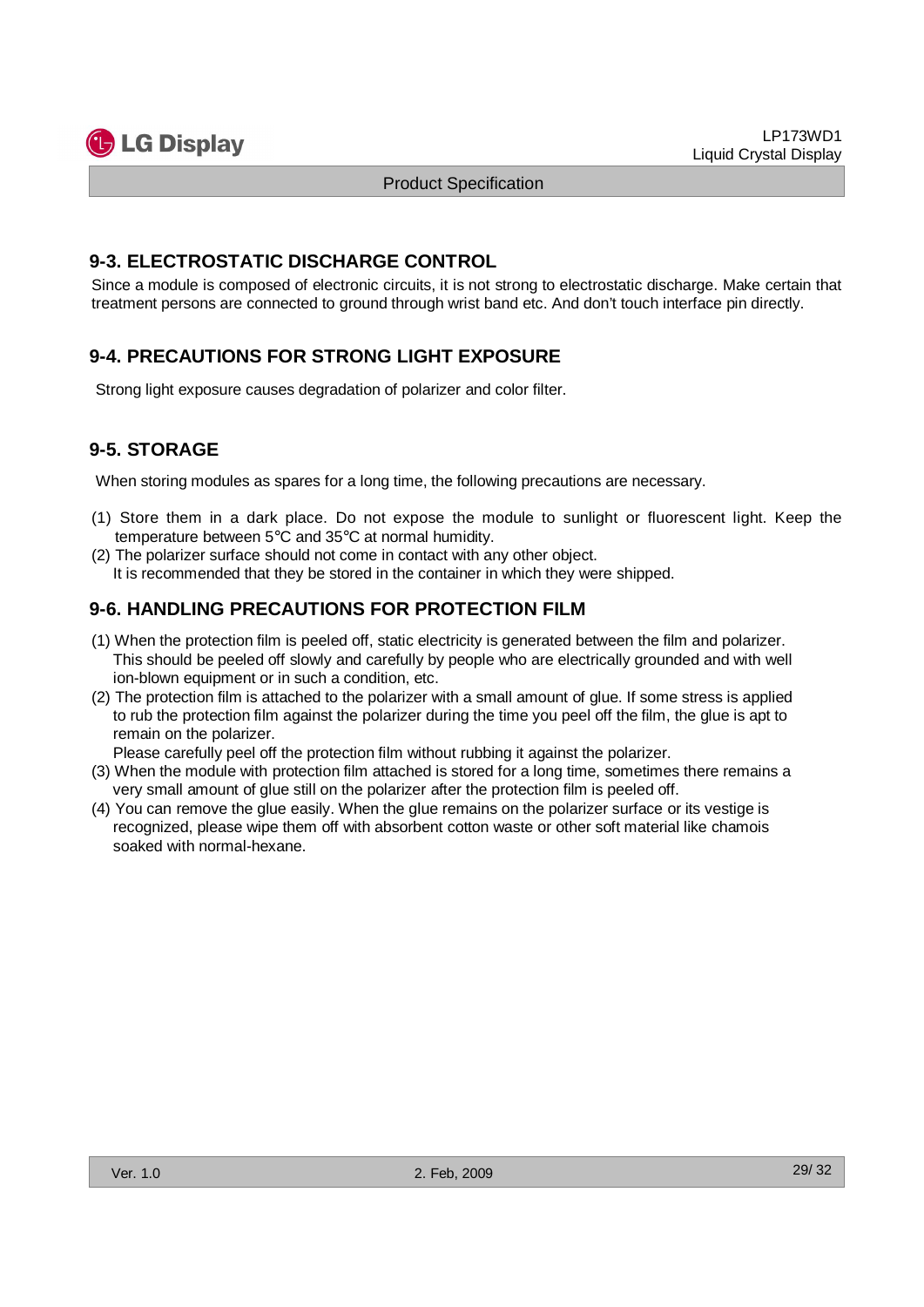![](_page_28_Picture_1.jpeg)

## **9-3. ELECTROSTATIC DISCHARGE CONTROL**

Since a module is composed of electronic circuits, it is not strong to electrostatic discharge. Make certain that treatment persons are connected to ground through wrist band etc. And don't touch interface pin directly.

## **9-4. PRECAUTIONS FOR STRONG LIGHT EXPOSURE**

Strong light exposure causes degradation of polarizer and color filter.

## **9-5. STORAGE**

When storing modules as spares for a long time, the following precautions are necessary.

- (1) Store them in a dark place. Do not expose the module to sunlight or fluorescent light. Keep the temperature between 5°C and 35°C at normal humidity.
- (2) The polarizer surface should not come in contact with any other object. It is recommended that they be stored in the container in which they were shipped.

## **9-6. HANDLING PRECAUTIONS FOR PROTECTION FILM**

- (1) When the protection film is peeled off, static electricity is generated between the film and polarizer. This should be peeled off slowly and carefully by people who are electrically grounded and with well ion-blown equipment or in such a condition, etc.
- (2) The protection film is attached to the polarizer with a small amount of glue. If some stress is applied to rub the protection film against the polarizer during the time you peel off the film, the glue is apt to remain on the polarizer. **Collect Display**<br> **Product Spectrosson**<br> **Product Spectrosson**<br> **We also consider the control of the collect of the collect of the consideration**<br> **We also consider the consideration of the consideration**<br> **We also consid**

Please carefully peel off the protection film without rubbing it against the polarizer.

- (3) When the module with protection film attached is stored for a long time, sometimes there remains a very small amount of glue still on the polarizer after the protection film is peeled off.
- (4) You can remove the glue easily. When the glue remains on the polarizer surface or its vestige is recognized, please wipe them off with absorbent cotton waste or other soft material like chamois soaked with normal-hexane.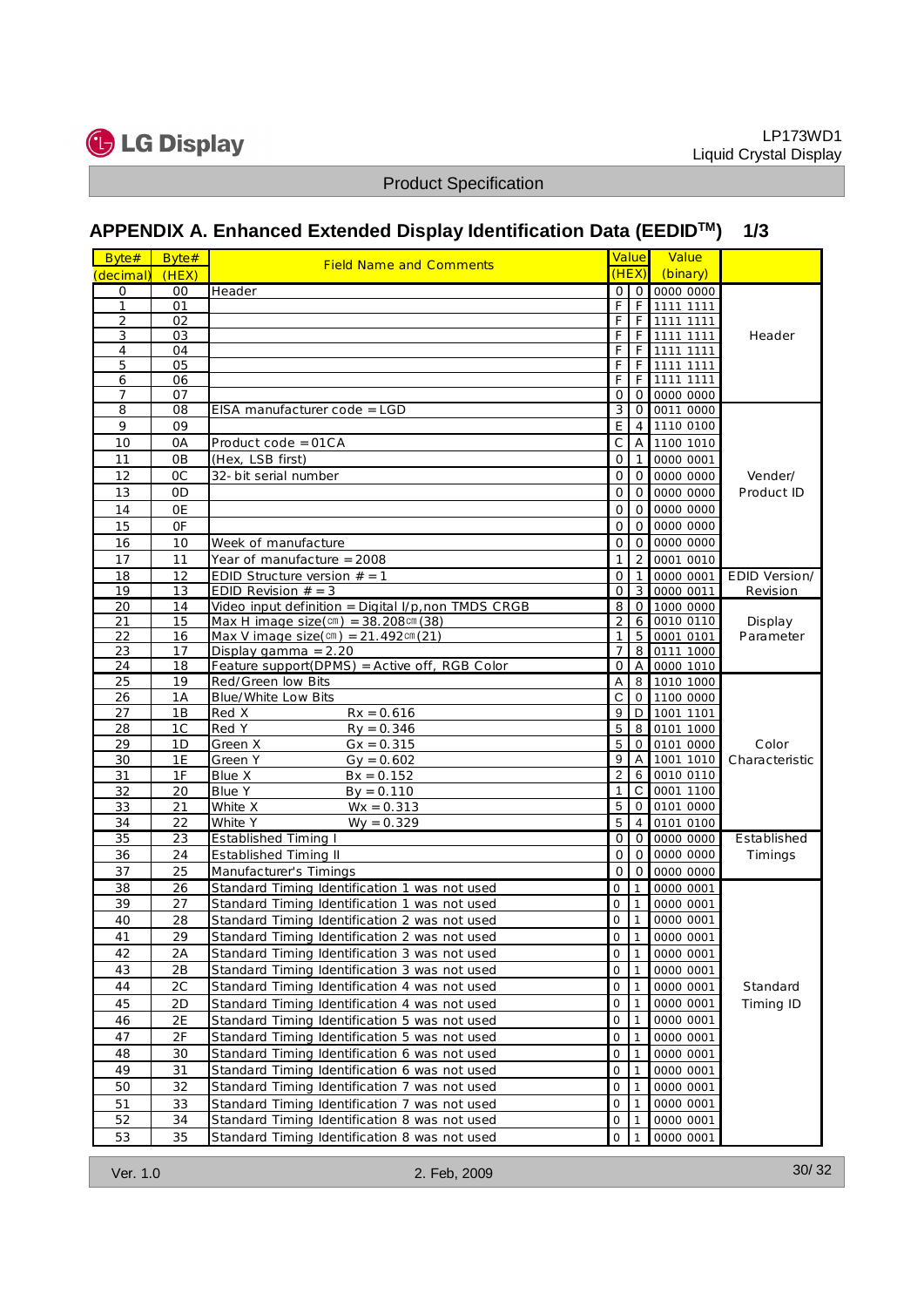![](_page_29_Picture_0.jpeg)

## **APPENDIX A. Enhanced Extended Display Identification Data (EEDIDTM) 1/3**

| $B$ yte#<br>$(\text{decim } a)$ |                                  |                                                                                                           |                                                                  |                            |
|---------------------------------|----------------------------------|-----------------------------------------------------------------------------------------------------------|------------------------------------------------------------------|----------------------------|
|                                 |                                  | APPENDIX A. Enhanced Extended Display Identification Data (EEDID <sup>™</sup> )                           |                                                                  | 1/3                        |
|                                 | Byte#<br>(HEX)                   | Field Name and Comments                                                                                   | Value<br><mark>V a lu (</mark><br>(HEX)<br>$(b$ in a ry          |                            |
| $\mathbf{0}$                    | 0 <sub>0</sub>                   | Header                                                                                                    | 0 0 0000 0000                                                    |                            |
| $\mathbf{1}$<br>2               | 01<br>02                         |                                                                                                           | F<br>F 1111 1111<br>F<br>F 1111 1111                             |                            |
| 3                               | 03                               |                                                                                                           | $\overline{F}$<br>F 1111 1111                                    | Header                     |
| $\overline{4}$<br>5             | 04<br>05                         |                                                                                                           | $\overline{F}$<br>F 1111 1111<br>$\overline{F}$<br>$F$ 1111 1111 |                            |
| 6                               | 06                               |                                                                                                           | F<br>F 1111 1111                                                 |                            |
| $\overline{7}$<br>8             | 07<br>08                         | EISA m anufacturercode = LGD                                                                              | 0 <sup>1</sup><br>0 0000 0000                                    |                            |
| 9                               | 09                               |                                                                                                           | 3 0 0011 0000<br>$\overline{E}$<br>$4 \overline{ }$<br>1110 0100 |                            |
| 10                              | 0A                               | $P$ roduct code = 01CA                                                                                    | $\overline{C}$<br>1100 1010<br>A                                 |                            |
| 11                              | 0B                               | (Hex, LSB first)                                                                                          | $\overline{0}$<br>0000 0001                                      |                            |
| 12<br>13                        | 0 <sup>C</sup><br>0 <sub>D</sub> | 32-bit serial num ber                                                                                     | 0 0 0000 0000<br>0 0 0000 0000                                   | Vender/                    |
| 14                              | 0E                               |                                                                                                           | 0 0 0000 0000                                                    | Product ID                 |
| 15                              | 0F                               |                                                                                                           | $\overline{0}$<br>$\overline{0}$<br>0000 0000                    |                            |
| 16                              | 10                               | Week ofm anufacture                                                                                       | 0 0 0000 0000                                                    |                            |
| 17                              | 11                               | Year of m anufacture = 2008                                                                               | 2 0001 0010                                                      |                            |
| 18<br>19                        | 12<br>13                         | ED ID Structure version $# = 1$<br>ED ID Revision $# = 3$                                                 | $\overline{0}$<br>1 0000 0001<br>0 3 0000 0011                   | ED ID Version/<br>Revision |
| 20                              | 14                               | Video input definition = $D$ igital I/p, non TM DS CRGB                                                   | 8 0 1000 0000                                                    |                            |
| 21<br>22                        | 15<br>16                         | M $ax H$ im $aqe size (cm) = 38.208 cm (38)$<br>M ax V im age size $(\text{cm}) = 21.492 \text{ cm} (21)$ | $\overline{2}$<br>6 0010 0110<br>1 5 0001 0101                   | D isplay<br>Parameter      |
| 23                              | 17                               | D isplay gam $m a = 2.20$                                                                                 | 7 8 0111 1000                                                    |                            |
| 24                              | 18                               | Feature support( $0$ PM S) = Active off, RGB Color                                                        | 0 A 0000 1010                                                    |                            |
| 25<br>26                        | 19<br>1A                         | Red/Green low Bits<br>Blue/W hite Low Bits                                                                | A 8 1010 1000<br>C 0 1100 0000                                   |                            |
| 27                              | 1B                               | $Rx = 0.616$<br>Red X                                                                                     | 9 D 1001 1101                                                    |                            |
| 28                              | 1C                               | Red Y<br>$Ry = 0.346$                                                                                     | 5 8 0101 1000                                                    |                            |
| 29                              | 1D                               | Green X<br>$G x = 0.315$                                                                                  | 5 0 0101 0000                                                    | Color                      |
| 30<br>31                        | 1E<br>1F                         | Green Y<br>$G y = 0.602$<br>B lue X<br>$Bx = 0.152$                                                       | 9 A 1001 1010 Characteristic<br>2 6 0010 0110                    |                            |
| 32                              | 20                               | Blue Y<br>$By = 0.110$                                                                                    | 1 C 0001 1100                                                    |                            |
| 33                              | 21                               | W hite X<br>$W x = 0.313$                                                                                 | 500010000                                                        |                            |
| 34<br>35                        | 22<br>23                         | W hite Y<br>$W y = 0.329$<br>Established Tim ing I                                                        | 5   4   0101 0100<br>0 0 0000 0000                               | Established                |
| 36                              | 24                               | Established Tim ing II                                                                                    | 0 0 0 0000 0000                                                  | Tim ings                   |
| 37                              | 25                               | Manufacturer's Tim ings                                                                                   | 0 0 0000 0000                                                    |                            |
| 38                              | 26                               | Standard Tim ing Identification 1 was not used                                                            | $0$ 1 0000 0001                                                  |                            |
| 39<br>40                        | 27<br>28                         | Standard Tim ing Identification 1 was not used                                                            | $0 \t1 \t0000 \t0001$<br>$\overline{0}$<br>0000 0001             |                            |
| 41                              | 29                               | Standard Tim ing Identification 2 was not used<br>Standard Tim ing Identification 2 was not used          | $\overline{0}$<br>0000 0001                                      |                            |
| 42                              | 2A                               | Standard Tim ing Identification 3 was not used                                                            | $\overline{0}$<br>0000 0001                                      |                            |
| 43                              | 2B                               | Standard Tim ing Identification 3 was not used                                                            | $\overline{0}$<br>0000 0001                                      |                            |
| 44                              | 2C                               | Standard Tim ing Identification 4 was not used                                                            | $\overline{0}$<br>0000 0001<br>$\vert$ 1                         | Standard                   |
| 45<br>46                        | 2D<br>2E                         | Standard Tim ing Identification 4 was not used<br>Standard Tim ing Identification 5 was not used          | $\overline{0}$<br>0000 0001<br>$\overline{0}$<br>0000 0001       | Tim ing ID                 |
| 47                              | 2F                               | Standard Tim ing Identification 5 was not used                                                            | $\overline{0}$<br>0000 0001                                      |                            |
| 48                              | 30                               | Standard Tim ing Identification 6 was not used                                                            | $\overline{0}$<br>0000 0001                                      |                            |
|                                 | 31                               | Standard Tim ing Identification 6 was not used                                                            | $0 \mid 1$<br>0000 0001                                          |                            |
| 49                              |                                  | Standard Tim ing Identification 7 was not used                                                            |                                                                  |                            |
| 50                              | 32                               |                                                                                                           | $\overline{0}$<br>0000 0001                                      |                            |
| 51<br>52                        | 33<br>34                         | Standard Tim ing Identification 7 was not used<br>Standard Tim ing Identification 8 was not used          | $\overline{0}$<br>0000 0001<br>$\overline{0}$<br>0000 0001       |                            |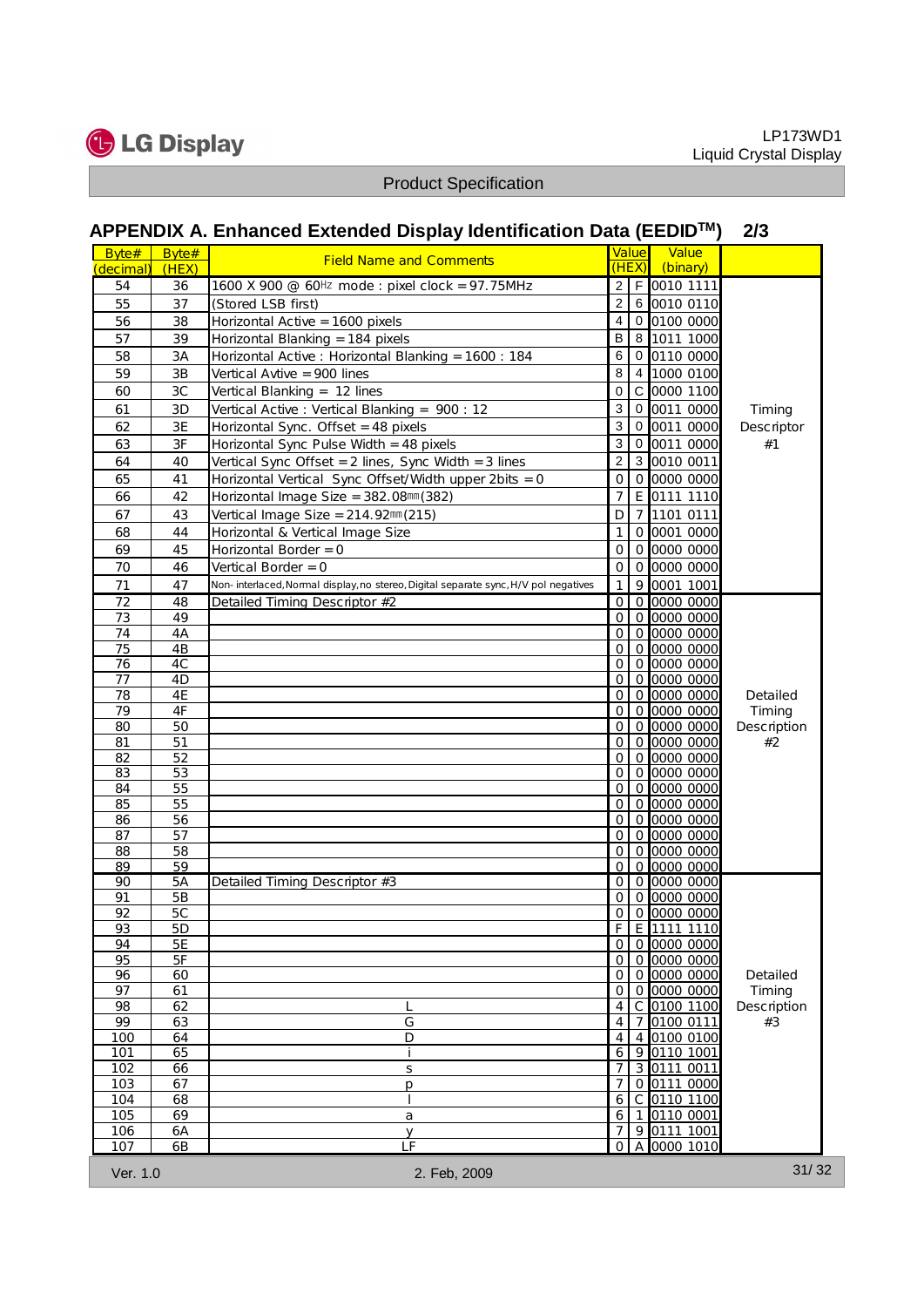![](_page_30_Picture_0.jpeg)

|                                 |                | <b>Product Specification</b>                                                                                            |                                                                                          |                                    |                        |
|---------------------------------|----------------|-------------------------------------------------------------------------------------------------------------------------|------------------------------------------------------------------------------------------|------------------------------------|------------------------|
|                                 |                | APPENDIX A. Enhanced Extended Display Identification Data (EEDID™)                                                      |                                                                                          |                                    | 2/3                    |
| B vte#<br>$(\n\text{decim } a)$ | Byte#<br>(HEX) | Field Name and Comments                                                                                                 | Value<br>(HEX)                                                                           | Value<br>$(b$ inary)               |                        |
| 54                              | 36             | 1600 X 900 @ 60Hz m ode : pixel clock = 97.75M Hz                                                                       |                                                                                          | 2 F 0010 1111                      |                        |
| 55                              | 37             | (Stored LSB first)                                                                                                      |                                                                                          | 2 6 0010 0110                      |                        |
| 56                              | 38             | Horizontal Active = 1600 pixels                                                                                         |                                                                                          | 4 0 0100 0000                      |                        |
| 57<br>58                        | 39<br>3A       | Horizontal Blanking = 184 pixels<br>Horizontal Active: Horizontal Blanking = 1600: 184                                  |                                                                                          | B 8 1011 1000<br>6 0 0110 0000     |                        |
| 59                              | 3B             | Vertical Avtive = 900 lines                                                                                             |                                                                                          | 8 4 1000 0100                      |                        |
| 60                              | 3C             | Vertical Blanking = $12$ lines                                                                                          |                                                                                          | 0 C 0000 1100                      |                        |
| 61                              | 3D             | Vertical Active: Vertical Blanking = 900:12                                                                             |                                                                                          | 3 0 0011 0000                      | $T$ im $ing$           |
| 62                              | $3E$           | Horizontal Sync. 0 ffset = 48 pixels                                                                                    |                                                                                          | 3 0 0011 0000                      | Descriptor             |
| 63                              | 3F             | Horizontal Sync Pulse W idth = 48 pixels                                                                                |                                                                                          | 3000110000                         | #1                     |
| 64<br>65                        | 40<br>41       | Vertical Sync 0 ffset = 2 lines, Sync W id th = 3 lines<br>Horizontal Vertical Sync 0 ffset/W id th upper 2bits = 0     |                                                                                          | 2 3 0010 0011<br>0 0 0000 0000     |                        |
| 66                              | 42             | Horizontal Im age Size = 382.08mm (382)                                                                                 |                                                                                          | 7 E 0111 1110                      |                        |
| 67                              | 43             | Vertical $lm$ age Size = $214.92$ mm $(215)$                                                                            | $\begin{array}{ c } \hline \rule{0.2cm}{0.15mm} \hline \rule{0.2cm}{0.15mm} \end{array}$ | 7 1101 0111                        |                        |
| 68                              | 44             | Horizontal & Vertical Im age Size                                                                                       | $\overline{1}$                                                                           | 0 0001 0000                        |                        |
| 69                              | 45             | Horizontal Border = 0                                                                                                   |                                                                                          | 0 0 0000 0000                      |                        |
| 70                              | 46             | Vertical Border = 0                                                                                                     |                                                                                          | 0 0 0000 0000                      |                        |
| 71<br>72                        | 47<br>48       | Non-interlaced, Nom aldisplay, no stereo, Digital separate sync, H / Ypol negatives<br>Detailed Tim ing Descriptor $#2$ |                                                                                          | 9 0001 1001<br>0 0 0000 0000       |                        |
| 73                              | 49             |                                                                                                                         |                                                                                          | 0 0 0000 0000                      |                        |
| 74                              | 4A             |                                                                                                                         |                                                                                          | 0 0 0000 0000                      |                        |
| 75<br>76                        | 4B<br>4C       |                                                                                                                         |                                                                                          | 0 0 0000 0000<br>0 0 0000 0000     |                        |
| 77                              | 4D             |                                                                                                                         |                                                                                          | 0 0 0000 0000                      |                        |
| 78                              | $4E$           |                                                                                                                         |                                                                                          | 0 0 0000 0000                      | Detailed               |
| 79<br>80                        | 4F<br>50       |                                                                                                                         |                                                                                          | 0 0 0000 0000<br>0 0 0000 0000     | $T$ im $ing$           |
| 81                              | 51             |                                                                                                                         |                                                                                          | 0 0 0000 0000                      | Description<br>#2      |
| 82                              | 52             |                                                                                                                         |                                                                                          | 0 0 0000 0000                      |                        |
| 83                              | 53             |                                                                                                                         |                                                                                          | 0 0 0000 0000                      |                        |
| $\bf 84$<br>85                  | $55\,$<br>55   |                                                                                                                         |                                                                                          | 0 0 0000 0000<br>0 0 0000 0000     |                        |
| 86                              | 56             |                                                                                                                         |                                                                                          | 0 0 0000 0000                      |                        |
| 87                              | 57             |                                                                                                                         |                                                                                          | 0 0 0000 0000                      |                        |
| 88                              | 58<br>59       |                                                                                                                         |                                                                                          | 0 0 0000 0000<br>0 0 0000 0000     |                        |
| 89<br>90                        | 5A             | Detailed Tim ing Descriptor#3                                                                                           |                                                                                          | 0 0 0000 0000                      |                        |
| 91                              | $5B$           |                                                                                                                         |                                                                                          | 0 0 0000 0000                      |                        |
| 92                              | 5C             |                                                                                                                         |                                                                                          | 0 0 0000 0000<br>$F$ $E$ 1111 1110 |                        |
| 93<br>94                        | 5D<br>$5E$     |                                                                                                                         |                                                                                          | 0 0 0000 0000                      |                        |
| 95                              | 5F             |                                                                                                                         |                                                                                          | 0 0 0000 0000                      |                        |
| 96                              | 60             |                                                                                                                         |                                                                                          | 0 0 0000 0000                      | Detailed               |
| 97<br>98                        | 61<br>62       |                                                                                                                         |                                                                                          | 0 0 0000 0000<br>4 C 0100 1100     | Tim ing<br>Description |
| 99                              | 63             | G                                                                                                                       | $\overline{4}$                                                                           | 7 0100 0111                        | $\#$ 3                 |
| 100                             | 64             | D                                                                                                                       | $\overline{4}$                                                                           | 4 0100 0100                        |                        |
| 101                             | 65             |                                                                                                                         | $\overline{7}$                                                                           | $6$ 9 0110 1001                    |                        |
| 102<br>103                      | 66<br>67       | $\mathsf S$<br>p                                                                                                        | $\overline{7}$                                                                           | 3 0111 0011<br>0 0111 0000         |                        |
| 104                             | 68             |                                                                                                                         |                                                                                          | 6 C 0110 1100                      |                        |
| 105                             | 69             | a                                                                                                                       | 6                                                                                        | 1 0110 0001                        |                        |
| 106<br>107                      | 6A<br>6B       | $\mathsf{y}$<br>LF                                                                                                      | $\overline{0}$                                                                           | 7 9 0111 1001<br>A 0000 1010       |                        |
|                                 |                |                                                                                                                         |                                                                                          |                                    |                        |